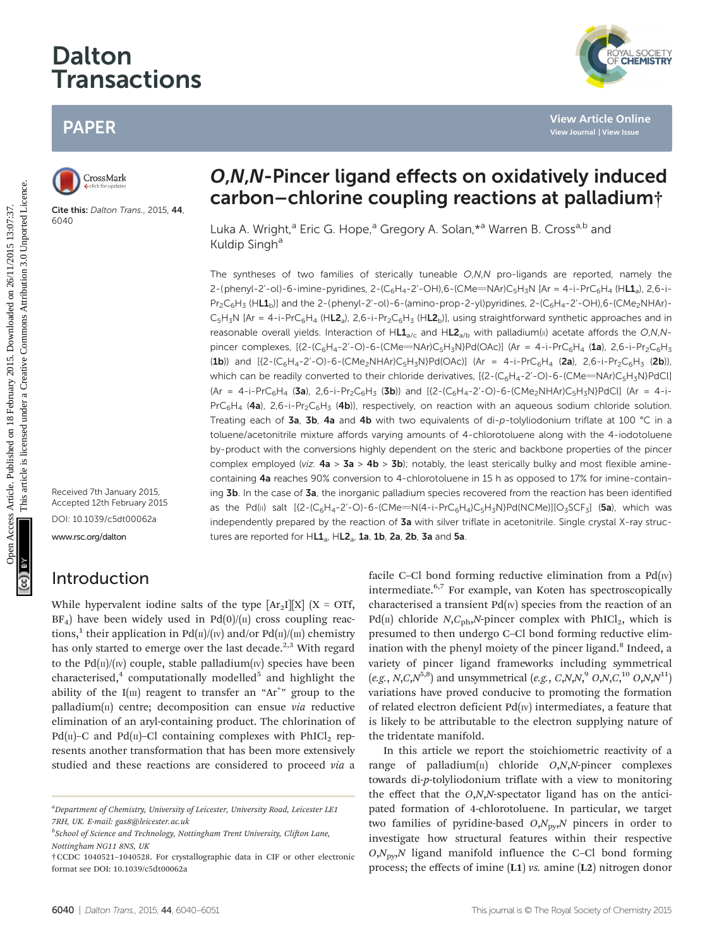# Dalton Transactions

# PAPER



Cite this: Dalton Trans., 2015, 44 6040

Received 7th January 2015, Accepted 12th February 2015 DOI: 10.1039/c5dt00062a

<www.rsc.org/dalton>

# Introduction

While hypervalent iodine salts of the type  $\left[\text{Ar}_2\text{I}\right][X]$  (X = OTf,  $BF<sub>4</sub>$ ) have been widely used in Pd(0)/( $\pi$ ) cross coupling reactions,<sup>1</sup> their application in Pd( $\pi$ )/( $\pi$ ) and/or Pd( $\pi$ )/( $\pi$ ) chemistry has only started to emerge over the last decade.<sup>2,3</sup> With regard to the  $Pd(n)/(w)$  couple, stable palladium(w) species have been characterised, $4$  computationally modelled<sup>5</sup> and highlight the ability of the  $I(m)$  reagent to transfer an "Ar<sup>+</sup>" group to the palladium( $\pi$ ) centre; decomposition can ensue *via* reductive elimination of an aryl-containing product. The chlorination of Pd( $\pi$ )–C and Pd( $\pi$ )–Cl containing complexes with PhICl<sub>2</sub> represents another transformation that has been more extensively studied and these reactions are considered to proceed via a

# O,N,N-Pincer ligand effects on oxidatively induced carbon–chlorine coupling reactions at palladium†

Luka A. Wright,<sup>a</sup> Eric G. Hope,<sup>a</sup> Gregory A. Solan,\*<sup>a</sup> Warren B. Cross<sup>a,b</sup> and Kuldip Singh<sup>a</sup>

The syntheses of two families of sterically tuneable  $O,N,N$  pro-ligands are reported, namely the 2-(phenyl-2'-ol)-6-imine-pyridines, 2-(C<sub>6</sub>H<sub>4</sub>-2'-OH),6-(CMe=NAr)C<sub>5</sub>H<sub>3</sub>N [Ar = 4-i-PrC<sub>6</sub>H<sub>4</sub> (H**L1**a), 2,6-i- $Pr_2C_6H_3$  (HL1<sub>b</sub>)] and the 2-(phenyl-2'-ol)-6-(amino-prop-2-yl)pyridines, 2-(C<sub>6</sub>H<sub>4</sub>-2'-OH),6-(CMe<sub>2</sub>NHAr)- $C_5H_3N$  [Ar = 4-i-PrC<sub>6</sub>H<sub>4</sub> (H**L2**<sub>a</sub>), 2,6-i-Pr<sub>2</sub>C<sub>6</sub>H<sub>3</sub> (H**L2**<sub>b</sub>)], using straightforward synthetic approaches and in reasonable overall yields. Interaction of HL1<sub>a/c</sub> and HL2<sub>a/b</sub> with palladium(II) acetate affords the O,N,Npincer complexes,  $[(2-(C_6H_4-2'-O)-6-(CMe=NAr)C_5H_3N)Pd(OAc)]$  (Ar = 4-i-PrC<sub>6</sub>H<sub>4</sub> (1a), 2,6-i-Pr<sub>2</sub>C<sub>6</sub>H<sub>3</sub> (1b)) and  $[(2-(C_6H_4-2'-O)-6-(CMe_2NHAr)C_5H_3N)Pd(OAc)]$  (Ar = 4-i-PrC<sub>6</sub>H<sub>4</sub> (2a), 2,6-i-Pr<sub>2</sub>C<sub>6</sub>H<sub>3</sub> (2b)), which can be readily converted to their chloride derivatives,  $[(2-(C_6H_4-2'-O)-6-(CMe=NAr)C_5H_3N)PdCl]$  $(Ar = 4-i-PrC_6H_4$  (3a), 2,6-i-Pr<sub>2</sub>C<sub>6</sub>H<sub>3</sub> (3b)) and  $[(2-(C_6H_4-2'-O)-6-(CMe_2NHAr)C_5H_3N)PdCl]$  (Ar = 4-i- $PrC_6H_4$  (4a), 2,6-i-Pr<sub>2</sub>C<sub>6</sub>H<sub>3</sub> (4b)), respectively, on reaction with an aqueous sodium chloride solution. Treating each of 3a, 3b, 4a and 4b with two equivalents of di-p-tolyliodonium triflate at 100 °C in a toluene/acetonitrile mixture affords varying amounts of 4-chlorotoluene along with the 4-iodotoluene by-product with the conversions highly dependent on the steric and backbone properties of the pincer complex employed (viz.  $4a > 3a > 4b > 3b$ ); notably, the least sterically bulky and most flexible aminecontaining 4a reaches 90% conversion to 4-chlorotoluene in 15 h as opposed to 17% for imine-containing 3b. In the case of 3a, the inorganic palladium species recovered from the reaction has been identified as the Pd(II) salt  $[\{2-(C_6H_4-2'-O)-6-(CMe= N(4-i-PrC_6H_4)C_5H_3N\}Pd(NCMe)][O_3SCF_3]$  (5a), which was independently prepared by the reaction of 3a with silver triflate in acetonitrile. Single crystal X-ray structures are reported for  $HL1a$ ,  $HL2a$ , 1a, 1b, 2a, 2b, 3a and 5a. PAPER<br>
Constant<br>
Carbon – chlorine coupling reactions at palladium<br>
Carbon – chlorine coupling reactions at palladium<br>
Example 2.5 and 2.6 and 2.6 and 2.6 and 2.6 and 2.6 and 2.6 and 2.6 and 2.6 and 2.6 and 2.6 and 2.6 an

> facile C–Cl bond forming reductive elimination from a  $Pd(w)$ intermediate.6,7 For example, van Koten has spectroscopically characterised a transient  $Pd(w)$  species from the reaction of an  $Pd(\Pi)$  chloride N,C<sub>ph</sub>,N-pincer complex with PhICl<sub>2</sub>, which is presumed to then undergo C–Cl bond forming reductive elimination with the phenyl moiety of the pincer ligand.<sup>8</sup> Indeed, a variety of pincer ligand frameworks including symmetrical (e.g., N,C,N<sup>5,8</sup>) and unsymmetrical (e.g., C,N,N,<sup>9</sup> O,N,C,<sup>10</sup> O,N,N<sup>11</sup>) variations have proved conducive to promoting the formation of related electron deficient  $Pd(w)$  intermediates, a feature that is likely to be attributable to the electron supplying nature of the tridentate manifold.

> In this article we report the stoichiometric reactivity of a range of palladium $(n)$  chloride  $O, N, N$ -pincer complexes towards di-p-tolyliodonium triflate with a view to monitoring the effect that the O,N,N-spectator ligand has on the anticipated formation of 4-chlorotoluene. In particular, we target two families of pyridine-based  $O, N_{\text{pv}}$ , pincers in order to investigate how structural features within their respective  $O, N_{\text{pv}}, N$  ligand manifold influence the C–Cl bond forming process; the effects of imine (L1) vs. amine (L2) nitrogen donor



<sup>&</sup>lt;sup>a</sup>Department of Chemistry, University of Leicester, University Road, Leicester LE1 7RH, UK. E-mail: gas8@leicester.ac.uk

<sup>&</sup>lt;sup>b</sup>School of Science and Technology, Nottingham Trent University, Clifton Lane, Nottingham NG11 8NS, UK

<sup>†</sup>CCDC 1040521–1040528. For crystallographic data in CIF or other electronic format see DOI: 10.1039/c5dt00062a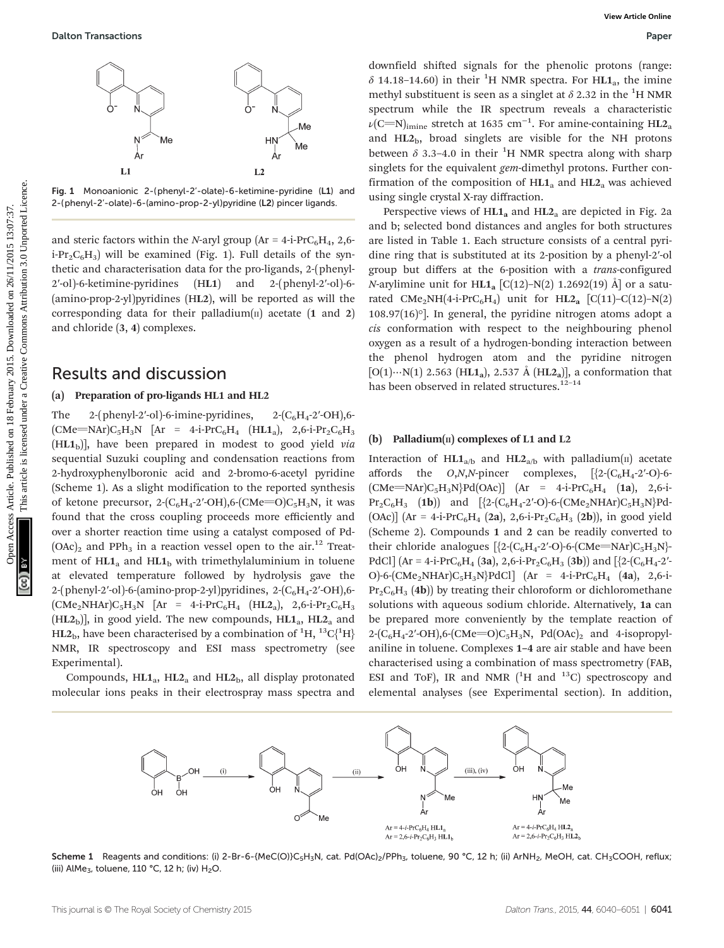

Fig. 1 Monoanionic 2-(phenyl-2'-olate)-6-ketimine-pyridine (L1) and 2-(phenyl-2'-olate)-6-(amino-prop-2-yl)pyridine (L2) pincer ligands.

and steric factors within the N-aryl group ( $Ar = 4-i$ -PrC<sub>6</sub>H<sub>4</sub>, 2,6 $i$ -Pr<sub>2</sub>C<sub>6</sub>H<sub>3</sub>) will be examined (Fig. 1). Full details of the synthetic and characterisation data for the pro-ligands, 2-(phenyl-2′-ol)-6-ketimine-pyridines (HL1) and 2-(phenyl-2′-ol)-6- (amino-prop-2-yl)pyridines (HL2), will be reported as will the corresponding data for their palladium $(n)$  acetate  $(1 \text{ and } 2)$ and chloride (3, 4) complexes.

## Results and discussion

#### (a) Preparation of pro-ligands HL1 and HL2

The 2-(phenyl-2'-ol)-6-imine-pyridines,  $2-(C_6H_4-2'-OH)$ ,6- $(CMe=NAr)C_5H_3N$   $[Ar = 4-i-PrC_6H_4$   $(HL1_a), 2,6-i-Pr_2C_6H_3$  $(HL1<sub>b</sub>)$ ], have been prepared in modest to good yield via sequential Suzuki coupling and condensation reactions from 2-hydroxyphenylboronic acid and 2-bromo-6-acetyl pyridine (Scheme 1). As a slight modification to the reported synthesis of ketone precursor, 2- $(C_6H_4$ -2'-OH),6- $(CMe=O)C_5H_3N$ , it was found that the cross coupling proceeds more efficiently and over a shorter reaction time using a catalyst composed of Pd-  $(OAc)$ <sub>2</sub> and PPh<sub>3</sub> in a reaction vessel open to the air.<sup>12</sup> Treatment of  $HL1_a$  and  $HL1_b$  with trimethylaluminium in toluene at elevated temperature followed by hydrolysis gave the 2-(phenyl-2'-ol)-6-(amino-prop-2-yl)pyridines,  $2$ -( $C_6H_4$ -2'-OH),6- $(CMe<sub>2</sub>NHAr)C<sub>5</sub>H<sub>3</sub>N$  [Ar = 4-i-PrC<sub>6</sub>H<sub>4</sub> (HL2<sub>a</sub>), 2,6-i-Pr<sub>2</sub>C<sub>6</sub>H<sub>3</sub>  $(HL2<sub>b</sub>)$ ], in good yield. The new compounds,  $H<sub>L1a</sub>$ ,  $H<sub>L2a</sub>$  and HL2<sub>b</sub>, have been characterised by a combination of  $^{1} \text{H}$ ,  $^{13} \text{C} \{ ^{1} \text{H} \}$ NMR, IR spectroscopy and ESI mass spectrometry (see Experimental).

Compounds,  $HL1a$ ,  $HL2a$  and  $HL2b$ , all display protonated molecular ions peaks in their electrospray mass spectra and

downfield shifted signals for the phenolic protons (range:  $\delta$  14.18-14.60) in their <sup>1</sup>H NMR spectra. For HL1<sub>a</sub>, the imine methyl substituent is seen as a singlet at  $\delta$  2.32 in the <sup>1</sup>H NMR spectrum while the IR spectrum reveals a characteristic  $\nu\rm{(C=N)_{imine}}$  stretch at 1635 cm $^{-1}$ . For amine-containing HL2 $_{\rm a}$ and  $HL2<sub>b</sub>$ , broad singlets are visible for the NH protons between  $\delta$  3.3-4.0 in their <sup>1</sup>H NMR spectra along with sharp singlets for the equivalent *gem*-dimethyl protons. Further confirmation of the composition of  $H_{1a}$  and  $H_{2a}$  was achieved using single crystal X-ray diffraction.

Perspective views of  $HL1$ <sub>a</sub> and  $HL2$ <sub>a</sub> are depicted in Fig. 2a and b; selected bond distances and angles for both structures are listed in Table 1. Each structure consists of a central pyridine ring that is substituted at its 2-position by a phenyl-2′-ol group but differs at the 6-position with a *trans-configured* N-arylimine unit for  $HL1_a$  [C(12)–N(2) 1.2692(19) Å] or a saturated CMe<sub>2</sub>NH(4-i-PrC<sub>6</sub>H<sub>4</sub>) unit for HL2<sub>a</sub> [C(11)–C(12)–N(2) 108.97(16)°]. In general, the pyridine nitrogen atoms adopt a cis conformation with respect to the neighbouring phenol oxygen as a result of a hydrogen-bonding interaction between the phenol hydrogen atom and the pyridine nitrogen  $[O(1)\cdots N(1)$  2.563 (HL1<sub>a</sub>), 2.537 Å (HL2<sub>a</sub>)], a conformation that has been observed in related structures.<sup>12-14</sup> **Continent on 18 February 2015**<br>
Support of A contribution in the Fit With Support on 18 February 2016 in the Fit With Support and the common and the right of the limit of the common and the common and the common and the

### (b) Palladium $(n)$  complexes of L1 and L2

Interaction of  $H L1_{a/b}$  and  $H L2_{a/b}$  with palladium(II) acetate affords the  $O, N, N$ -pincer complexes,  $[2-(C_6H_4-2'-O)-6-(C_6H_5+2'-O)]$  $(CMe=NAr)C_5H_3N$ }Pd(OAc)] (Ar = 4-i-PrC<sub>6</sub>H<sub>4</sub> (1a), 2,6-i- $Pr_2C_6H_3$  (1b)) and  $[\{2-(C_6H_4-2'-O)-6-(CMe_2NHAr)C_5H_3N\}Pd-$ (OAc)] (Ar = 4-i-PrC<sub>6</sub>H<sub>4</sub> (2a), 2,6-i-Pr<sub>2</sub>C<sub>6</sub>H<sub>3</sub> (2b)), in good yield (Scheme 2). Compounds 1 and 2 can be readily converted to their chloride analogues  $[\{2-(C_6H_4-2'-O)-6-(CMe=NAr)C_5H_3N\}$ PdCl] (Ar = 4-i-PrC<sub>6</sub>H<sub>4</sub> (3a), 2,6-i-Pr<sub>2</sub>C<sub>6</sub>H<sub>3</sub> (3b)) and [ $\{2-(C_6H_4 - 2' -$ O)-6-(CMe<sub>2</sub>NHAr)C<sub>5</sub>H<sub>3</sub>N<sub>2</sub>PdCl] (Ar = 4-i-PrC<sub>6</sub>H<sub>4</sub> (4a), 2,6-i- $Pr_2C_6H_3$  (4b)) by treating their chloroform or dichloromethane solutions with aqueous sodium chloride. Alternatively, 1a can be prepared more conveniently by the template reaction of  $2-(C_6H_4-2'-OH)$ ,6-(CMe=O)C<sub>5</sub>H<sub>3</sub>N, Pd(OAc)<sub>2</sub> and 4-isopropylaniline in toluene. Complexes 1–4 are air stable and have been characterised using a combination of mass spectrometry (FAB, ESI and ToF), IR and NMR  $(^{1}H$  and  $^{13}C)$  spectroscopy and elemental analyses (see Experimental section). In addition,



Scheme 1 Reagents and conditions: (i) 2-Br-6-{MeC(O)}C<sub>5</sub>H<sub>3</sub>N, cat. Pd(OAc)<sub>2</sub>/PPh<sub>3</sub>, toluene, 90 °C, 12 h; (ii) ArNH<sub>2</sub>, MeOH, cat. CH<sub>3</sub>COOH, reflux; (iii) AlMe<sub>3</sub>, toluene, 110 °C, 12 h; (iv) H<sub>2</sub>O.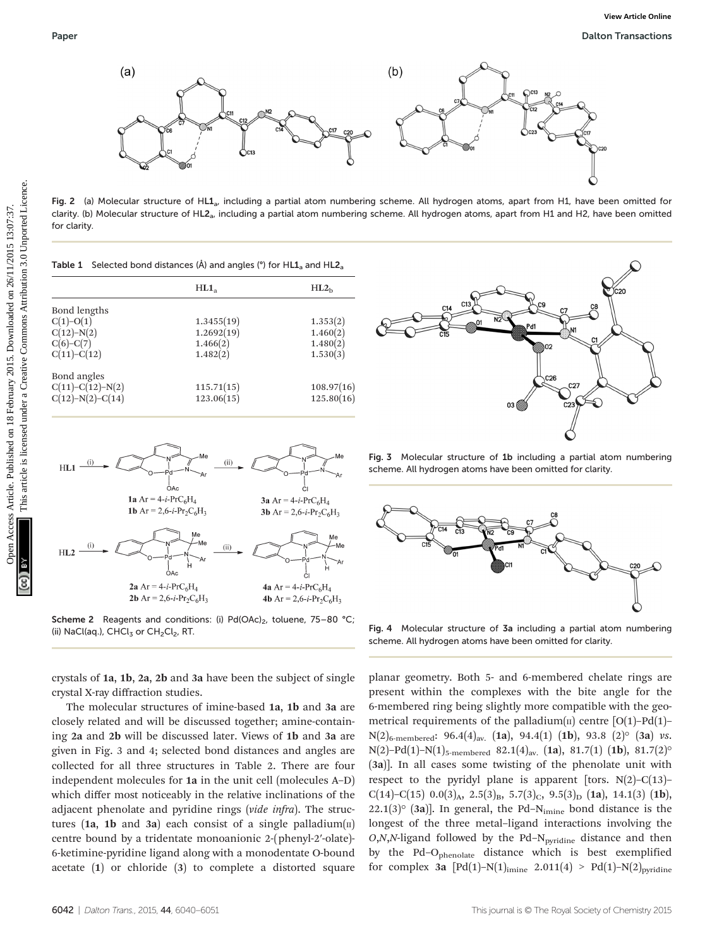

Fig. 2 (a) Molecular structure of HL1<sub>a</sub>, including a partial atom numbering scheme. All hydrogen atoms, apart from H1, have been omitted for clarity. (b) Molecular structure of HL2<sub>a</sub>, including a partial atom numbering scheme. All hydrogen atoms, apart from H1 and H2, have been omitted for clarity.

|                                                                             | HL1 <sub>a</sub>                                 | HL2 <sub>b</sub>                             |  |
|-----------------------------------------------------------------------------|--------------------------------------------------|----------------------------------------------|--|
| Bond lengths<br>$C(1)-O(1)$<br>$C(12)-N(2)$<br>$C(6)-C(7)$<br>$C(11)-C(12)$ | 1.3455(19)<br>1.2692(19)<br>1.466(2)<br>1.482(2) | 1.353(2)<br>1.460(2)<br>1.480(2)<br>1.530(3) |  |
| Bond angles<br>$C(11)-C(12)-N(2)$<br>$C(12)-N(2)-C(14)$                     | 115.71(15)<br>123.06(15)                         | 108.97(16)<br>125.80(16)                     |  |



**Scheme 2** Reagents and conditions: (i)  $Pd(OAc)_{2}$ , toluene, 75–80 °C; (ii) NaCl(aq.), CHCl $_3$  or CH<sub>2</sub>Cl<sub>2</sub>, RT.

crystals of 1a, 1b, 2a, 2b and 3a have been the subject of single crystal X-ray diffraction studies.

The molecular structures of imine-based 1a, 1b and 3a are closely related and will be discussed together; amine-containing 2a and 2b will be discussed later. Views of 1b and 3a are given in Fig. 3 and 4; selected bond distances and angles are collected for all three structures in Table 2. There are four independent molecules for 1a in the unit cell (molecules A–D) which differ most noticeably in the relative inclinations of the adjacent phenolate and pyridine rings (vide infra). The structures (1a, 1b and 3a) each consist of a single palladium $(n)$ centre bound by a tridentate monoanionic 2-(phenyl-2′-olate)- 6-ketimine-pyridine ligand along with a monodentate O-bound acetate (1) or chloride (3) to complete a distorted square



Fig. 3 Molecular structure of 1b including a partial atom numbering scheme. All hydrogen atoms have been omitted for clarity.



Fig. 4 Molecular structure of 3a including a partial atom numbering scheme. All hydrogen atoms have been omitted for clarity.

planar geometry. Both 5- and 6-membered chelate rings are present within the complexes with the bite angle for the 6-membered ring being slightly more compatible with the geometrical requirements of the palladium( $\pi$ ) centre [O(1)–Pd(1)–  $N(2)_{6-membered}$ : 96.4(4)<sub>av.</sub> (1a), 94.4(1) (1b), 93.8 (2)<sup>o</sup> (3a) vs. N(2)–Pd(1)–N(1)<sub>5-membered</sub> 82.1(4)<sub>av.</sub> (1a), 81.7(1) (1b), 81.7(2)<sup>o</sup> (3a)]. In all cases some twisting of the phenolate unit with respect to the pyridyl plane is apparent [tors.  $N(2)-C(13)$ – C(14)–C(15) 0.0(3)<sub>A</sub>, 2.5(3)<sub>B</sub>, 5.7(3)<sub>C</sub>, 9.5(3)<sub>D</sub> (1a), 14.1(3) (1b), 22.1(3) $\circ$  (3a)]. In general, the Pd-N<sub>imine</sub> bond distance is the longest of the three metal–ligand interactions involving the  $O, N, N$ -ligand followed by the Pd– $N_{pyridine}$  distance and then by the Pd–Ophenolate distance which is best exemplified for complex 3a  $[Pd(1)-N(1)]_{\text{imine}}$  2.011(4) > Pd(1)-N(2)<sub>pyridine</sub>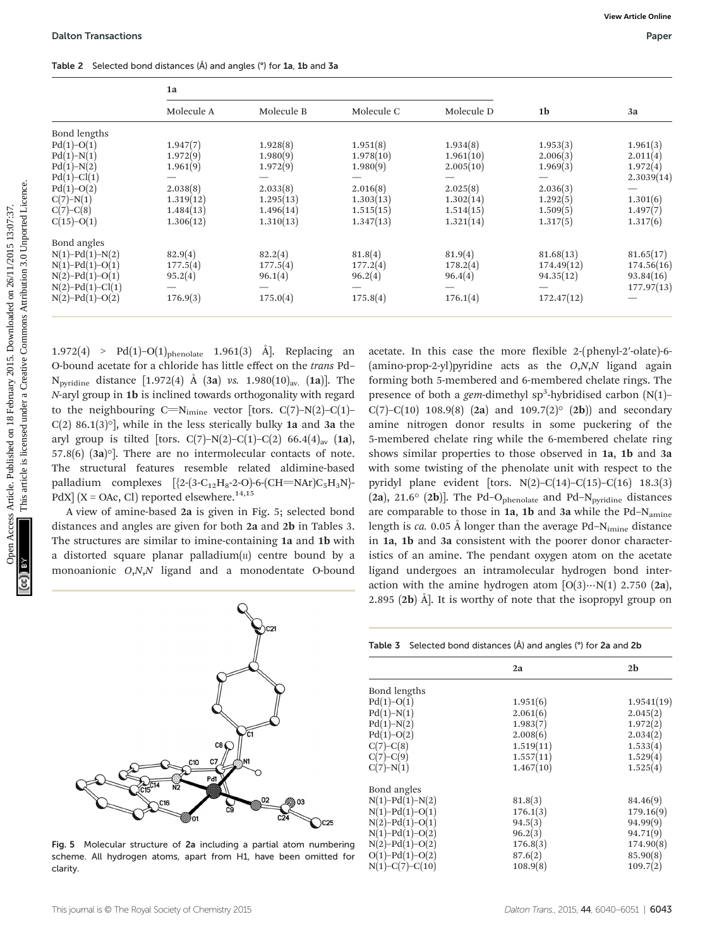Table 2 Selected bond distances (Å) and angles (°) for 1a, 1b and 3a

|                               | 1a                                                        |                                                                                                                                                                                                                                                                                                            |            |                                                                                                                                                                                                                                                                            |                |                        |
|-------------------------------|-----------------------------------------------------------|------------------------------------------------------------------------------------------------------------------------------------------------------------------------------------------------------------------------------------------------------------------------------------------------------------|------------|----------------------------------------------------------------------------------------------------------------------------------------------------------------------------------------------------------------------------------------------------------------------------|----------------|------------------------|
|                               | Molecule A                                                | Molecule B                                                                                                                                                                                                                                                                                                 | Molecule C | Molecule D                                                                                                                                                                                                                                                                 | 1 <sub>b</sub> | 3a                     |
| Bond lengths                  |                                                           |                                                                                                                                                                                                                                                                                                            |            |                                                                                                                                                                                                                                                                            |                |                        |
| $Pd(1)-O(1)$                  | 1.947(7)                                                  | 1.928(8)                                                                                                                                                                                                                                                                                                   | 1.951(8)   | 1.934(8)                                                                                                                                                                                                                                                                   | 1.953(3)       | 1.961(3)               |
| $Pd(1)-N(1)$                  | 1.972(9)                                                  | 1.980(9)                                                                                                                                                                                                                                                                                                   | 1.978(10)  | 1.961(10)                                                                                                                                                                                                                                                                  | 2.006(3)       | 2.011(4)               |
| $Pd(1)-N(2)$<br>$Pd(1)-Cl(1)$ | 1.961(9)<br>$\overline{\phantom{0}}$                      | 1.972(9)                                                                                                                                                                                                                                                                                                   | 1.980(9)   | 2.005(10)<br>$\overline{\phantom{0}}$                                                                                                                                                                                                                                      | 1.969(3)       | 1.972(4)<br>2.3039(14) |
| $Pd(1)-O(2)$                  | 2.038(8)                                                  | 2.033(8)                                                                                                                                                                                                                                                                                                   | 2.016(8)   | 2.025(8)                                                                                                                                                                                                                                                                   | 2.036(3)       |                        |
| $C(7)-N(1)$                   | 1.319(12)                                                 | 1.295(13)                                                                                                                                                                                                                                                                                                  | 1.303(13)  | 1.302(14)                                                                                                                                                                                                                                                                  | 1.292(5)       | 1.301(6)               |
| $C(7)-C(8)$                   | 1.484(13)                                                 | 1.496(14)                                                                                                                                                                                                                                                                                                  | 1.515(15)  | 1.514(15)                                                                                                                                                                                                                                                                  | 1.509(5)       | 1.497(7)               |
| $C(15)-O(1)$                  | 1.306(12)                                                 | 1.310(13)                                                                                                                                                                                                                                                                                                  | 1.347(13)  | 1.321(14)                                                                                                                                                                                                                                                                  | 1.317(5)       | 1.317(6)               |
| Bond angles                   |                                                           |                                                                                                                                                                                                                                                                                                            |            |                                                                                                                                                                                                                                                                            |                |                        |
| $N(1) - Pd(1) - N(2)$         | 82.9(4)                                                   | 82.2(4)                                                                                                                                                                                                                                                                                                    | 81.8(4)    | 81.9(4)                                                                                                                                                                                                                                                                    | 81.68(13)      | 81.65(17)              |
| $N(1) - Pd(1) - O(1)$         | 177.5(4)                                                  | 177.5(4)                                                                                                                                                                                                                                                                                                   | 177.2(4)   | 178.2(4)                                                                                                                                                                                                                                                                   | 174.49(12)     | 174.56(16)             |
| $N(2) - Pd(1) - O(1)$         | 95.2(4)                                                   | 96.1(4)                                                                                                                                                                                                                                                                                                    | 96.2(4)    | 96.4(4)                                                                                                                                                                                                                                                                    | 94.35(12)      | 93.84(16)              |
| $N(2) - Pd(1) - Cl(1)$        |                                                           |                                                                                                                                                                                                                                                                                                            |            | $\overline{\phantom{0}}$                                                                                                                                                                                                                                                   |                | 177.97(13)             |
| $N(2) - Pd(1) - O(2)$         | 176.9(3)                                                  | 175.0(4)                                                                                                                                                                                                                                                                                                   | 175.8(4)   | 176.1(4)                                                                                                                                                                                                                                                                   | 172.47(12)     |                        |
|                               |                                                           | $1.972(4) >$ Pd(1)-O(1) <sub>phenolate</sub> 1.961(3) Å]. Replacing an<br>O-bound acetate for a chloride has little effect on the trans Pd-<br>N <sub>pyridine</sub> distance [1.972(4) Å (3a) vs. 1.980(10) <sub>av.</sub> (1a)]. The<br>N-aryl group in 1b is inclined towards orthogonality with regard |            | acetate. In this case the more flexible 2-(phenyl-2'-olate)-6-<br>(amino-prop-2-yl)pyridine acts as the $O, N, N$ ligand again<br>forming both 5-membered and 6-membered chelate rings. The<br>presence of both a <i>gem</i> -dimethyl $sp^3$ -hybridised carbon $(N(1)$ - |                |                        |
|                               |                                                           | to the neighbouring C=N <sub>imine</sub> vector [tors. C(7)-N(2)-C(1)-<br>$C(2)$ 86.1(3)°], while in the less sterically bulky 1a and 3a the<br>aryl group is tilted [tors. $C(7)-N(2)-C(1)-C(2)$ 66.4(4) <sub>av</sub> (1a),                                                                              |            | C(7)-C(10) 108.9(8) (2a) and 109.7(2) <sup>o</sup> (2b)) and secondary<br>amine nitrogen donor results in some puckering of the<br>5-membered chelate ring while the 6-membered chelate ring                                                                               |                |                        |
|                               |                                                           | 57.8(6) $(3a)$ <sup>o</sup> ]. There are no intermolecular contacts of note.                                                                                                                                                                                                                               |            | shows similar properties to those observed in 1a, 1b and 3a                                                                                                                                                                                                                |                |                        |
|                               |                                                           | The structural features resemble related aldimine-based                                                                                                                                                                                                                                                    |            | with some twisting of the phenolate unit with respect to the                                                                                                                                                                                                               |                |                        |
|                               |                                                           | palladium complexes $[\{2-(3-C_{12}H_8-2-O)-6-(CH=NAr)C_5H_3N\}$                                                                                                                                                                                                                                           |            | pyridyl plane evident [tors. $N(2) - C(14) - C(15) - C(16)$ 18.3(3)                                                                                                                                                                                                        |                |                        |
|                               |                                                           |                                                                                                                                                                                                                                                                                                            |            |                                                                                                                                                                                                                                                                            |                |                        |
|                               | PdX] $(X = OAC, Cl)$ reported elsewhere. <sup>14,15</sup> |                                                                                                                                                                                                                                                                                                            |            | (2a), 21.6 $\circ$ (2b)]. The Pd-O <sub>phenolate</sub> and Pd-N <sub>pyridine</sub> distances                                                                                                                                                                             |                |                        |
|                               |                                                           | A view of amine-based 2a is given in Fig. 5; selected bond                                                                                                                                                                                                                                                 |            | are comparable to those in 1a, 1b and 3a while the Pd-N <sub>amine</sub>                                                                                                                                                                                                   |                |                        |
|                               |                                                           | distances and angles are given for both 2a and 2b in Tables 3.                                                                                                                                                                                                                                             |            | length is $ca. 0.05$ Å longer than the average Pd- $N_{\text{imine}}$ distance                                                                                                                                                                                             |                |                        |
|                               |                                                           | The structures are similar to imine-containing 1a and 1b with<br>a distorted square planar palladium $(n)$ centre bound by a                                                                                                                                                                               |            | in 1a, 1b and 3a consistent with the poorer donor character-<br>istics of an amine. The pendant oxygen atom on the acetate                                                                                                                                                 |                |                        |

A view of amine-based 2a is given in Fig. 5; selected bond distances and angles are given for both 2a and 2b in Tables 3. The structures are similar to imine-containing 1a and 1b with a distorted square planar palladium $(n)$  centre bound by a monoanionic O,N,N ligand and a monodentate O-bound

acetate. In this case the more flexible 2-(phenyl-2′-olate)-6-  $(amino-prop-2-vl)$  pyridine acts as the  $O, N, N$  ligand again forming both 5-membered and 6-membered chelate rings. The presence of both a gem-dimethyl sp<sup>3</sup>-hybridised carbon  $(N(1)$ - $C(7) - C(10)$  108.9(8) (2a) and 109.7(2)<sup>o</sup> (2b)) and secondary amine nitrogen donor results in some puckering of the 5-membered chelate ring while the 6-membered chelate ring shows similar properties to those observed in 1a, 1b and 3a with some twisting of the phenolate unit with respect to the pyridyl plane evident [tors.  $N(2)$ –C(14)–C(15)–C(16) 18.3(3) (2a), 21.6 $\textdegree$  (2b)]. The Pd-O<sub>phenolate</sub> and Pd-N<sub>pyridine</sub> distances are comparable to those in  $1a$ ,  $1b$  and  $3a$  while the Pd-N<sub>amine</sub> length is ca. 0.05 Å longer than the average Pd– $N_{\text{imine}}$  distance in 1a, 1b and 3a consistent with the poorer donor characteristics of an amine. The pendant oxygen atom on the acetate ligand undergoes an intramolecular hydrogen bond interaction with the amine hydrogen atom  $[O(3)\cdots N(1)$  2.750 (2a), 2.895  $(2b)$  Å. It is worthy of note that the isopropyl group on



Fig. 5 Molecular structure of 2a including a partial atom numbering scheme. All hydrogen atoms, apart from H1, have been omitted for clarity.

|                       | 2a        | 2 <sub>b</sub> |
|-----------------------|-----------|----------------|
| Bond lengths          |           |                |
| $Pd(1)-O(1)$          | 1.951(6)  | 1.9541(19)     |
| $Pd(1)-N(1)$          | 2.061(6)  | 2.045(2)       |
| $Pd(1)-N(2)$          | 1.983(7)  | 1.972(2)       |
| $Pd(1)-O(2)$          | 2.008(6)  | 2.034(2)       |
| $C(7)-C(8)$           | 1.519(11) | 1.533(4)       |
| $C(7)-C(9)$           | 1.557(11) | 1.529(4)       |
| $C(7)-N(1)$           | 1.467(10) | 1.525(4)       |
| Bond angles           |           |                |
| $N(1) - Pd(1) - N(2)$ | 81.8(3)   | 84.46(9)       |
| $N(1) - Pd(1) - O(1)$ | 176.1(3)  | 179.16(9)      |
| $N(2) - Pd(1) - O(1)$ | 94.5(3)   | 94.99(9)       |
| $N(1) - Pd(1) - O(2)$ | 96.2(3)   | 94.71(9)       |
| $N(2) - Pd(1) - O(2)$ | 176.8(3)  | 174.90(8)      |
| $O(1) - Pd(1) - O(2)$ | 87.6(2)   | 85.90(8)       |
| $N(1)-C(7)-C(10)$     | 108.9(8)  | 109.7(2)       |

| ı                                 | ֧֖֖֧֧֧֧֧֦֧֧֧֧֧֧֧֧֧֧֧֧֧֧֛֧֧֚֚֚֚֚֚֚֚֚֚֚֚֚֚֝֓֓֡֓֓֝֓֝֬֓֓֝֬֝֓֬֝֓֬֝֓֬֝֓֝֬֓֓֬֓֓֬֝֬֝֬֓֬֓֬֝֬֝֬֝֬֝֬֬֝֬֝֬<br>֖֖֚֚֚֚֚֚֬ |
|-----------------------------------|-------------------------------------------------------------------------------------------------------------|
|                                   |                                                                                                             |
| 3                                 |                                                                                                             |
| į                                 |                                                                                                             |
| ַ                                 |                                                                                                             |
|                                   |                                                                                                             |
|                                   | $\sim$                                                                                                      |
|                                   |                                                                                                             |
|                                   |                                                                                                             |
| $\sim$ $\sim$ $\sim$ $\sim$       | ζ                                                                                                           |
| v 4013.                           |                                                                                                             |
|                                   |                                                                                                             |
| $101$ by $101$ km $\mu$           |                                                                                                             |
|                                   |                                                                                                             |
|                                   |                                                                                                             |
|                                   |                                                                                                             |
|                                   |                                                                                                             |
|                                   |                                                                                                             |
|                                   |                                                                                                             |
|                                   |                                                                                                             |
|                                   | $\ddot{\phantom{a}}$                                                                                        |
|                                   |                                                                                                             |
|                                   |                                                                                                             |
|                                   |                                                                                                             |
| Access Anticipi, 1 turnismed vill |                                                                                                             |
|                                   |                                                                                                             |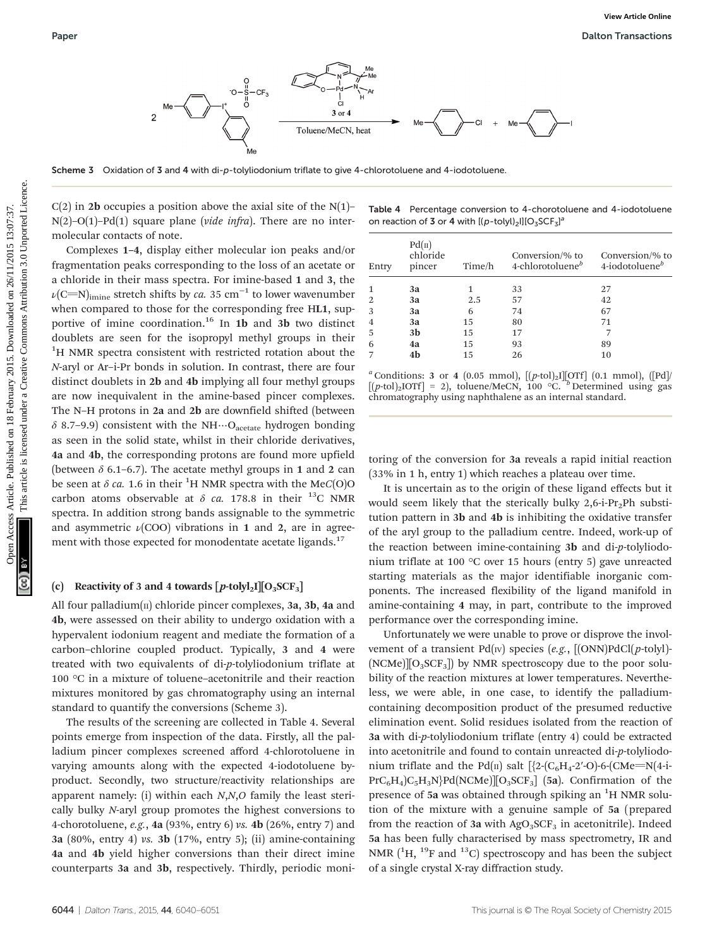

Scheme 3 Oxidation of 3 and 4 with di-p-tolyliodonium triflate to give 4-chlorotoluene and 4-iodotoluene.

 $C(2)$  in 2**b** occupies a position above the axial site of the N(1)–  $N(2)$ –O(1)–Pd(1) square plane (vide infra). There are no intermolecular contacts of note.

Complexes 1–4, display either molecular ion peaks and/or fragmentation peaks corresponding to the loss of an acetate or a chloride in their mass spectra. For imine-based 1 and 3, the  $\nu$ (C=N)<sub>imine</sub> stretch shifts by *ca*. 35 cm<sup>-1</sup> to lower wavenumber when compared to those for the corresponding free HL1, supportive of imine coordination.<sup>16</sup> In 1b and 3b two distinct doublets are seen for the isopropyl methyl groups in their <sup>1</sup>H NMR spectra consistent with restricted rotation about the N-aryl or Ar–i-Pr bonds in solution. In contrast, there are four distinct doublets in 2b and 4b implying all four methyl groups are now inequivalent in the amine-based pincer complexes. The N–H protons in 2a and 2b are downfield shifted (between  $\delta$  8.7–9.9) consistent with the NH…O<sub>acetate</sub> hydrogen bonding as seen in the solid state, whilst in their chloride derivatives, 4a and 4b, the corresponding protons are found more upfield (between  $\delta$  6.1–6.7). The acetate methyl groups in 1 and 2 can be seen at  $\delta$  ca. 1.6 in their <sup>1</sup>H NMR spectra with the MeC(O)O carbon atoms observable at  $\delta$  ca. 178.8 in their <sup>13</sup>C NMR spectra. In addition strong bands assignable to the symmetric and asymmetric  $\nu$ (COO) vibrations in 1 and 2, are in agreement with those expected for monodentate acetate ligands.<sup>17</sup> Paper More Records and the set of the complete on 18 February 2015. Download the complete on 18 February 2015. The main state of the Section of the Section of the Creative Commonstrates are the common on 26 February 2015.

#### (c) Reactivity of 3 and 4 towards  $[p$ -tolyl<sub>2</sub>I $[O_3$ SCF<sub>3</sub>]

All four palladium $(n)$  chloride pincer complexes, 3a, 3b, 4a and 4b, were assessed on their ability to undergo oxidation with a hypervalent iodonium reagent and mediate the formation of a carbon–chlorine coupled product. Typically, 3 and 4 were treated with two equivalents of di-p-tolyliodonium triflate at 100 °C in a mixture of toluene–acetonitrile and their reaction mixtures monitored by gas chromatography using an internal standard to quantify the conversions (Scheme 3).

The results of the screening are collected in Table 4. Several points emerge from inspection of the data. Firstly, all the palladium pincer complexes screened afford 4-chlorotoluene in varying amounts along with the expected 4-iodotoluene byproduct. Secondly, two structure/reactivity relationships are apparent namely: (i) within each N,N,O family the least sterically bulky N-aryl group promotes the highest conversions to 4-chorotoluene, e.g., 4a (93%, entry 6) vs. 4b (26%, entry 7) and 3a (80%, entry 4) vs. 3b (17%, entry 5); (ii) amine-containing 4a and 4b yield higher conversions than their direct imine counterparts 3a and 3b, respectively. Thirdly, periodic moni-

Table 4 Percentage conversion to 4-chorotoluene and 4-iodotoluene on reaction of 3 or 4 with  $[(p-tolyl)_2!] [O_3 SCF_3]^a$ 

| Entry          | Pd( <sub>II</sub> )<br>chloride<br>pincer | Time/h | Conversion/% to<br>4-chlorotoluene $^b$ | Conversion/% to<br>4-iodotoluene $^b$ |
|----------------|-------------------------------------------|--------|-----------------------------------------|---------------------------------------|
| $\mathbf{1}$   | 3a                                        |        | 33                                      | 27                                    |
| 2              | 3a                                        | 2.5    | 57                                      | 42                                    |
| 3              | 3a                                        | 6      | 74                                      | 67                                    |
| $\overline{4}$ | 3a                                        | 15     | 80                                      | 71                                    |
| -5             | 3b                                        | 15     | 17                                      |                                       |
| 6              | 4a                                        | 15     | 93                                      | 89                                    |
| 7              | 4b                                        | 15     | 26                                      | 10                                    |

<sup>*a*</sup> Conditions: 3 or 4 (0.05 mmol),  $[(p$ -tol)<sub>2</sub>I $[OTf]$  (0.1 mmol),  $[Pd]$  $[(p\text{-tol})_{2}IOTf] = 2$ , toluene/MeCN, 100 °C. <sup>b</sup> Determined using gas chromatography using naphthalene as an internal standard.

toring of the conversion for 3a reveals a rapid initial reaction (33% in 1 h, entry 1) which reaches a plateau over time.

It is uncertain as to the origin of these ligand effects but it would seem likely that the sterically bulky  $2,6$ -i-Pr<sub>2</sub>Ph substitution pattern in 3b and 4b is inhibiting the oxidative transfer of the aryl group to the palladium centre. Indeed, work-up of the reaction between imine-containing 3b and di-p-tolyliodonium triflate at 100 °C over 15 hours (entry 5) gave unreacted starting materials as the major identifiable inorganic components. The increased flexibility of the ligand manifold in amine-containing 4 may, in part, contribute to the improved performance over the corresponding imine.

Unfortunately we were unable to prove or disprove the involvement of a transient  $Pd(w)$  species (e.g.,  $[(ONN)PdCl(p-toly)]$ - $(NCMe)$ [O<sub>3</sub>SCF<sub>3</sub>]) by NMR spectroscopy due to the poor solubility of the reaction mixtures at lower temperatures. Nevertheless, we were able, in one case, to identify the palladiumcontaining decomposition product of the presumed reductive elimination event. Solid residues isolated from the reaction of 3a with di-p-tolyliodonium triflate (entry 4) could be extracted into acetonitrile and found to contain unreacted di-p-tolyliodonium triflate and the Pd(II) salt  $[2-C_6H_4-2'-O]-6-CMe= N(4-i-1)$  $PrC_6H_4$ )C<sub>5</sub>H<sub>3</sub>N<sub>}</sub>Pd(NCMe)][O<sub>3</sub>SCF<sub>3</sub>] (5a). Confirmation of the presence of 5a was obtained through spiking an <sup>1</sup>H NMR solution of the mixture with a genuine sample of 5a (prepared from the reaction of 3a with  $AgO<sub>3</sub>SCF<sub>3</sub>$  in acetonitrile). Indeed 5a has been fully characterised by mass spectrometry, IR and NMR  $(^{1}H, ^{19}F$  and  $^{13}C)$  spectroscopy and has been the subject of a single crystal X-ray diffraction study.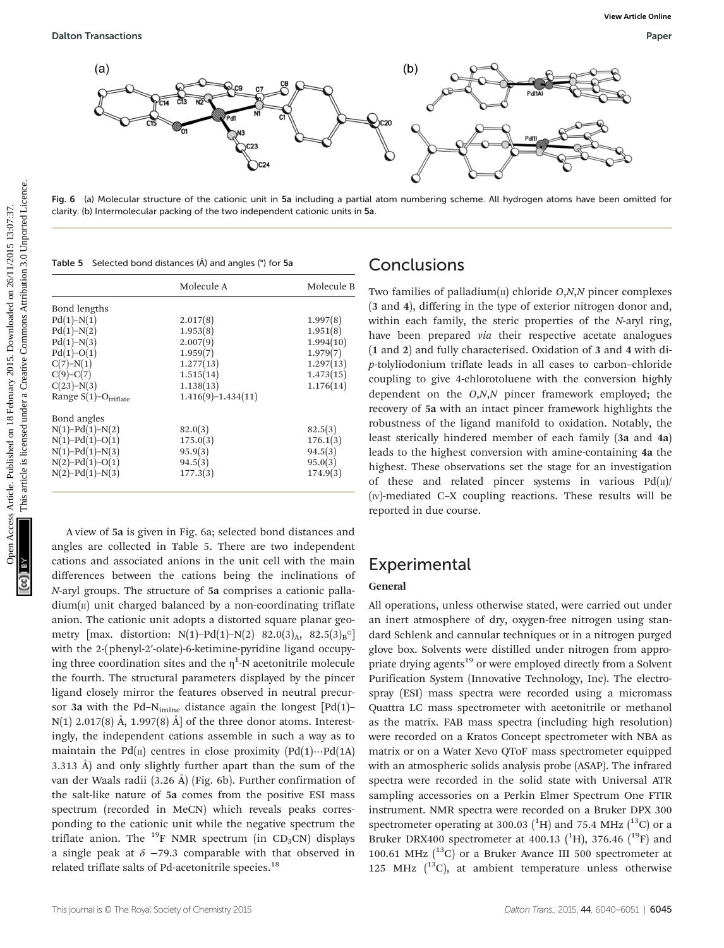

Fig. 6 (a) Molecular structure of the cationic unit in 5a including a partial atom numbering scheme. All hydrogen atoms have been omitted for clarity. (b) Intermolecular packing of the two independent cationic units in 5a.

Table 5 Selected bond distances (Å) and angles (°) for 5a

|                         | Molecule A           |           |
|-------------------------|----------------------|-----------|
| Bond lengths            |                      |           |
| $Pd(1)-N(1)$            | 2.017(8)             | 1.997(8)  |
| $Pd(1)-N(2)$            | 1.953(8)             | 1.951(8)  |
| $Pd(1)-N(3)$            | 2.007(9)             | 1.994(10) |
| $Pd(1)-O(1)$            | 1.959(7)             | 1.979(7)  |
| $C(7)-N(1)$             | 1.277(13)            | 1.297(13) |
| $C(9)-C(7)$             | 1.515(14)            | 1.473(15) |
| $C(23)-N(3)$            | 1.138(13)            | 1.176(14) |
| Range $S(1)-O$ triflate | $1.416(9)-1.434(11)$ |           |
| Bond angles             |                      |           |
| $N(1) - Pd(1) - N(2)$   | 82.0(3)              | 82.5(3)   |
| $N(1) - Pd(1) - O(1)$   | 175.0(3)             | 176.1(3)  |
| $N(1) - Pd(1) - N(3)$   | 95.9(3)              | 94.5(3)   |
| $N(2) - Pd(1) - O(1)$   | 94.5(3)              | 95.0(3)   |
| $N(2) - Pd(1) - N(3)$   | 177.3(3)             | 174.9(3)  |

A view of 5a is given in Fig. 6a; selected bond distances and angles are collected in Table 5. There are two independent cations and associated anions in the unit cell with the main differences between the cations being the inclinations of N-aryl groups. The structure of 5a comprises a cationic palla- $\dim(\mathfrak{m})$  unit charged balanced by a non-coordinating triflate anion. The cationic unit adopts a distorted square planar geometry [max. distortion: N(1)–Pd(1)–N(2) 82.0(3)<sub>A</sub>, 82.5(3)<sub>B</sub><sup>o</sup>] with the 2-(phenyl-2′-olate)-6-ketimine-pyridine ligand occupying three coordination sites and the  $\eta^1$ -N acetonitrile molecule the fourth. The structural parameters displayed by the pincer ligand closely mirror the features observed in neutral precursor 3a with the Pd-N<sub>imine</sub> distance again the longest  $[Pd(1)$ - $N(1)$  2.017(8) Å, 1.997(8) Å] of the three donor atoms. Interestingly, the independent cations assemble in such a way as to maintain the Pd( $\pi$ ) centres in close proximity (Pd(1)…Pd(1A) 3.313 Å) and only slightly further apart than the sum of the van der Waals radii (3.26 Å) (Fig. 6b). Further confirmation of the salt-like nature of 5a comes from the positive ESI mass spectrum (recorded in MeCN) which reveals peaks corresponding to the cationic unit while the negative spectrum the triflate anion. The <sup>19</sup>F NMR spectrum (in CD<sub>3</sub>CN) displays a single peak at  $\delta$  −79.3 comparable with that observed in related triflate salts of Pd-acetonitrile species.<sup>18</sup>

## **Conclusions**

Two families of palladium $\text{I}(I)$  chloride *O*,*N*,*N* pincer complexes (3 and 4), differing in the type of exterior nitrogen donor and, within each family, the steric properties of the N-aryl ring, have been prepared via their respective acetate analogues (1 and 2) and fully characterised. Oxidation of 3 and 4 with dip-tolyliodonium triflate leads in all cases to carbon–chloride coupling to give 4-chlorotoluene with the conversion highly dependent on the  $O,N$ , pincer framework employed; the recovery of 5a with an intact pincer framework highlights the robustness of the ligand manifold to oxidation. Notably, the least sterically hindered member of each family (3a and 4a) leads to the highest conversion with amine-containing 4a the highest. These observations set the stage for an investigation of these and related pincer systems in various  $Pd(n)$ (IV)-mediated C–X coupling reactions. These results will be reported in due course.

# **Experimental**

#### General

All operations, unless otherwise stated, were carried out under an inert atmosphere of dry, oxygen-free nitrogen using standard Schlenk and cannular techniques or in a nitrogen purged glove box. Solvents were distilled under nitrogen from appropriate drying agents<sup>19</sup> or were employed directly from a Solvent Purification System (Innovative Technology, Inc). The electrospray (ESI) mass spectra were recorded using a micromass Quattra LC mass spectrometer with acetonitrile or methanol as the matrix. FAB mass spectra (including high resolution) were recorded on a Kratos Concept spectrometer with NBA as matrix or on a Water Xevo QToF mass spectrometer equipped with an atmospheric solids analysis probe (ASAP). The infrared spectra were recorded in the solid state with Universal ATR sampling accessories on a Perkin Elmer Spectrum One FTIR instrument. NMR spectra were recorded on a Bruker DPX 300 spectrometer operating at 300.03  $(^{1}H)$  and 75.4 MHz  $(^{13}C)$  or a Bruker DRX400 spectrometer at 400.13 ( ${}^{1}$ H), 376.46 ( ${}^{19}$ F) and 100.61 MHz  $(^{13}C)$  or a Bruker Avance III 500 spectrometer at 125 MHz  $(^{13}C)$ , at ambient temperature unless otherwise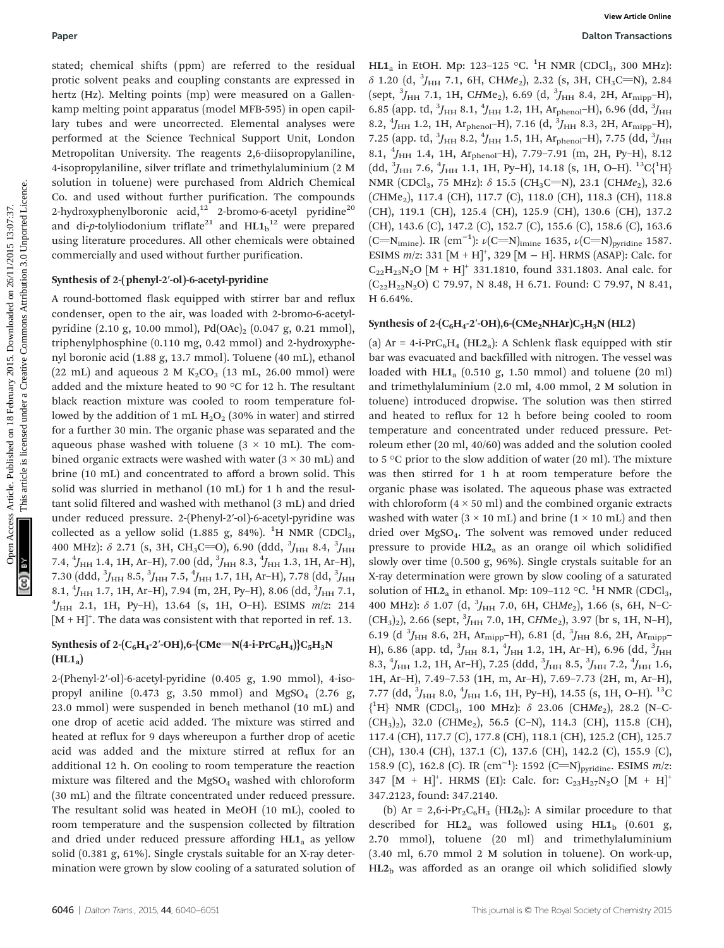stated; chemical shifts (ppm) are referred to the residual protic solvent peaks and coupling constants are expressed in hertz (Hz). Melting points (mp) were measured on a Gallenkamp melting point apparatus (model MFB-595) in open capillary tubes and were uncorrected. Elemental analyses were performed at the Science Technical Support Unit, London Metropolitan University. The reagents 2,6-diisopropylaniline, 4-isopropylaniline, silver triflate and trimethylaluminium (2 M solution in toluene) were purchased from Aldrich Chemical Co. and used without further purification. The compounds 2-hydroxyphenylboronic acid,<sup>12</sup> 2-bromo-6-acetyl pyridine<sup>20</sup> and di-p-tolyliodonium triflate $^{21}$  and  $\mathrm{HL1_b}^{12}$  were prepared using literature procedures. All other chemicals were obtained commercially and used without further purification.

#### Synthesis of 2-(phenyl-2′-ol)-6-acetyl-pyridine

A round-bottomed flask equipped with stirrer bar and reflux condenser, open to the air, was loaded with 2-bromo-6-acetylpyridine (2.10 g, 10.00 mmol), Pd(OAc)<sub>2</sub> (0.047 g, 0.21 mmol), triphenylphosphine (0.110 mg, 0.42 mmol) and 2-hydroxyphenyl boronic acid (1.88 g, 13.7 mmol). Toluene (40 mL), ethanol (22 mL) and aqueous 2 M  $K_2CO_3$  (13 mL, 26.00 mmol) were added and the mixture heated to 90 °C for 12 h. The resultant black reaction mixture was cooled to room temperature followed by the addition of 1 mL  $H_2O_2$  (30% in water) and stirred for a further 30 min. The organic phase was separated and the aqueous phase washed with toluene  $(3 \times 10 \text{ mL})$ . The combined organic extracts were washed with water  $(3 \times 30 \text{ mL})$  and brine (10 mL) and concentrated to afford a brown solid. This solid was slurried in methanol (10 mL) for 1 h and the resultant solid filtered and washed with methanol (3 mL) and dried under reduced pressure. 2-(Phenyl-2′-ol)-6-acetyl-pyridine was collected as a yellow solid (1.885 g, 84%).  $^{1}$ H NMR (CDCl<sub>3</sub>, 400 MHz):  $\delta$  2.71 (s, 3H, CH<sub>3</sub>C=O), 6.90 (ddd,  $^{3}J_{\rm{HH}}$  8.4,  $^{3}J_{\rm{HH}}$ 7.4,  $^4J_{\rm HH}$  1.4, 1H, Ar–H), 7.00 (dd,  $^3J_{\rm HH}$  8.3,  $^4J_{\rm HH}$  1.3, 1H, Ar–H), 7.30 (ddd,  $^3\!J_{\rm HH}$  8.5,  $^3\!J_{\rm HH}$  7.5,  $^4\!J_{\rm HH}$  1.7, 1H, Ar–H), 7.78 (dd,  $^3\!J_{\rm HH}$ 8.1,  $^{4}$ J<sub>HH</sub> 1.7, 1H, Ar–H), 7.94 (m, 2H, Py–H), 8.06 (dd,  $^{3}$ J<sub>HH</sub> 7.1,  $^{4}$ <sub>J</sub> 2.1, 1H, Py–H), 13.64 (s, 1H, O–H), ESIMS, m/z, 214  $^{4}$ J<sub>HH</sub> 2.1, 1H, Py-H), 13.64 (s, 1H, O-H). ESIMS  $m/z$ : 214  $[M + H]^{+}$ . The data was consistent with that reported in ref. 13. Paper<br>
Hotel coincides are coincided on 18 February 2016 11 February 2017-123 February 2018<br>
Incide Sobiet person the physical intervals are species and online in  $\sigma$  2016,  $\sigma$  11/20,  $\sigma$  11/2017-125. This are the spec

#### Synthesis of 2-(C<sub>6</sub>H<sub>4</sub>-2'-OH),6-{CMe=N(4-i-PrC<sub>6</sub>H<sub>4</sub>)}C<sub>5</sub>H<sub>3</sub>N  $(HL1_a)$

2-(Phenyl-2′-ol)-6-acetyl-pyridine (0.405 g, 1.90 mmol), 4-isopropyl aniline (0.473 g, 3.50 mmol) and  $MgSO<sub>4</sub>$  (2.76 g, 23.0 mmol) were suspended in bench methanol (10 mL) and one drop of acetic acid added. The mixture was stirred and heated at reflux for 9 days whereupon a further drop of acetic acid was added and the mixture stirred at reflux for an additional 12 h. On cooling to room temperature the reaction mixture was filtered and the  $MgSO<sub>4</sub>$  washed with chloroform (30 mL) and the filtrate concentrated under reduced pressure. The resultant solid was heated in MeOH (10 mL), cooled to room temperature and the suspension collected by filtration and dried under reduced pressure affording  $HL1<sub>a</sub>$  as yellow solid (0.381 g, 61%). Single crystals suitable for an X-ray determination were grown by slow cooling of a saturated solution of

HL1<sub>a</sub> in EtOH. Mp: 123-125 °C. <sup>1</sup>H NMR (CDCl<sub>3</sub>, 300 MHz):  $\delta$  1.20 (d,  $^{3}J_{\rm{HH}}$  7.1, 6H, CHMe<sub>2</sub>), 2.32 (s, 3H, CH<sub>3</sub>C=N), 2.84 (sept, <sup>3</sup> JHH 7.1, 1H, CHMe2), 6.69 (d, <sup>3</sup> JHH 8.4, 2H, Armipp–H), 6.85 (app. td,  $^{3}J_{\rm{HH}}$  8.1,  $^{4}J_{\rm{HH}}$  1.2, 1H, Ar<sub>phenol</sub>-H), 6.96 (dd,  $^{3}J_{\rm{HH}}$ 8.2,  $^{4}$ J<sub>HH</sub> 1.2, 1H, Ar<sub>phenol</sub>-H), 7.16 (d,  $^{3}$ J<sub>HH</sub> 8.3, 2H, Ar<sub>mipp</sub>-H), 7.25 (app. td,  $^{3}J_{\rm{HH}}$  8.2,  $^{4}J_{\rm{HH}}$  1.5, 1H, Ar<sub>phenol</sub>-H), 7.75 (dd,  $^{3}J_{\rm{HH}}$ 8.1, <sup>4</sup>J<sub>HH</sub> 1.4, 1H, Ar<sub>phenol</sub>-H), 7.79-7.91 (m, 2H, Py-H), 8.12 (dd,  ${}^{3}J_{\rm{HH}}$  7.6,  ${}^{4}J_{\rm{HH}}$  1.1, 1H, Py–H), 14.18 (s, 1H, O–H).  ${}^{13}C_{1}^{\{1}\rm{H}\}$ NMR (CDCl<sub>3</sub>, 75 MHz):  $\delta$  15.5 (CH<sub>3</sub>C=N), 23.1 (CHMe<sub>2</sub>), 32.6 (CHMe<sub>2</sub>), 117.4 (CH), 117.7 (C), 118.0 (CH), 118.3 (CH), 118.8 (CH), 119.1 (CH), 125.4 (CH), 125.9 (CH), 130.6 (CH), 137.2 (CH), 143.6 (C), 147.2 (C), 152.7 (C), 155.6 (C), 158.6 (C), 163.6 (C=N<sub>imine</sub>). IR (cm<sup>-1</sup>):  $\nu$ (C=N)<sub>imine</sub> 1635,  $\nu$ (C=N)<sub>pyridine</sub> 1587. ESIMS  $m/z$ : 331 [M + H]<sup>+</sup>, 329 [M – H]. HRMS (ASAP): Calc. for  $C_{22}H_{23}N_2O$   $[M + H]^+$  331.1810, found 331.1803. Anal calc. for  $(C_{22}H_{22}N_2O)$  C 79.97, N 8.48, H 6.71. Found: C 79.97, N 8.41, H 6.64%.

#### Synthesis of 2- $(C_6H_4$ -2'-OH),6- $(CMe_2NHAr)C_5H_3N$  (HL2)

(a)  $Ar = 4-i PrC_6H_4$  (HL2<sub>a</sub>): A Schlenk flask equipped with stir bar was evacuated and backfilled with nitrogen. The vessel was loaded with  $HL1_{a}$  (0.510 g, 1.50 mmol) and toluene (20 ml) and trimethylaluminium (2.0 ml, 4.00 mmol, 2 M solution in toluene) introduced dropwise. The solution was then stirred and heated to reflux for 12 h before being cooled to room temperature and concentrated under reduced pressure. Petroleum ether (20 ml, 40/60) was added and the solution cooled to 5 °C prior to the slow addition of water (20 ml). The mixture was then stirred for 1 h at room temperature before the organic phase was isolated. The aqueous phase was extracted with chloroform  $(4 \times 50 \text{ ml})$  and the combined organic extracts washed with water  $(3 \times 10 \text{ mL})$  and brine  $(1 \times 10 \text{ mL})$  and then dried over MgSO4. The solvent was removed under reduced pressure to provide  $HL2$ <sub>a</sub> as an orange oil which solidified slowly over time (0.500 g, 96%). Single crystals suitable for an X-ray determination were grown by slow cooling of a saturated solution of  $\text{HL2}_a$  in ethanol. Mp: 109–112 °C. <sup>1</sup>H NMR (CDCl<sub>3</sub>, 400 MHz):  $\delta$  1.07 (d,  $^3J_{\rm HH}$  7.0, 6H, CHMe<sub>2</sub>), 1.66 (s, 6H, N-C- $(CH<sub>3</sub>)<sub>2</sub>$ ), 2.66 (sept,  $<sup>3</sup>J<sub>HH</sub>$  7.0, 1H, CHMe<sub>2</sub>), 3.97 (br s, 1H, N-H),</sup> 6.19 (d  $^3J_{\text{HH}}$  8.6, 2H, Ar<sub>mipp</sub>–H), 6.81 (d,  $^3J_{\text{HH}}$  8.6, 2H, Ar<sub>mipp</sub>– H), 6.86 (app. td,  $^3J_{\rm HH}$  8.1,  $^4J_{\rm HH}$  1.2, 1H, Ar–H), 6.96 (dd,  $^3J_{\rm HH}$ 8.3,  $^{4}$ J<sub>HH</sub> 1.2, 1H, Ar-H), 7.25 (ddd,  $^{3}$ J<sub>HH</sub> 8.5,  $^{3}$ J<sub>HH</sub> 7.2,  $^{4}$ J<sub>HH</sub> 1.6, 1H, Ar–H), 7.49–7.53 (1H, m, Ar–H), 7.69–7.73 (2H, m, Ar–H), 7.77 (dd,  $^3J_{\rm HH}$  8.0,  $^4J_{\rm HH}$  1.6, 1H, Py–H), 14.55 (s, 1H, O–H).  $^{13}$ C  ${^4H}$  NMR (CDCl<sub>3</sub>, 100 MHz):  $\delta$  23.06 (CHMe<sub>2</sub>), 28.2 (N-C- $(CH<sub>3</sub>)<sub>2</sub>$ ), 32.0 (CHMe<sub>2</sub>), 56.5 (C-N), 114.3 (CH), 115.8 (CH), 117.4 (CH), 117.7 (C), 177.8 (CH), 118.1 (CH), 125.2 (CH), 125.7 (CH), 130.4 (CH), 137.1 (C), 137.6 (CH), 142.2 (C), 155.9 (C), 158.9 (C), 162.8 (C). IR  $(cm^{-1})$ : 1592 (C=N)<sub>pyridine</sub>. ESIMS m/z: 347  $[M + H]^{+}$ . HRMS (EI): Calc. for: C<sub>23</sub>H<sub>27</sub>N<sub>2</sub>O  $[M + H]^{+}$ 347.2123, found: 347.2140.

(b) Ar = 2,6-i-Pr<sub>2</sub>C<sub>6</sub>H<sub>3</sub> (HL2<sub>b</sub>): A similar procedure to that described for HL2<sub>a</sub> was followed using HL1<sub>b</sub> (0.601 g, 2.70 mmol), toluene (20 ml) and trimethylaluminium (3.40 ml, 6.70 mmol 2 M solution in toluene). On work-up,  $HL2<sub>b</sub>$  was afforded as an orange oil which solidified slowly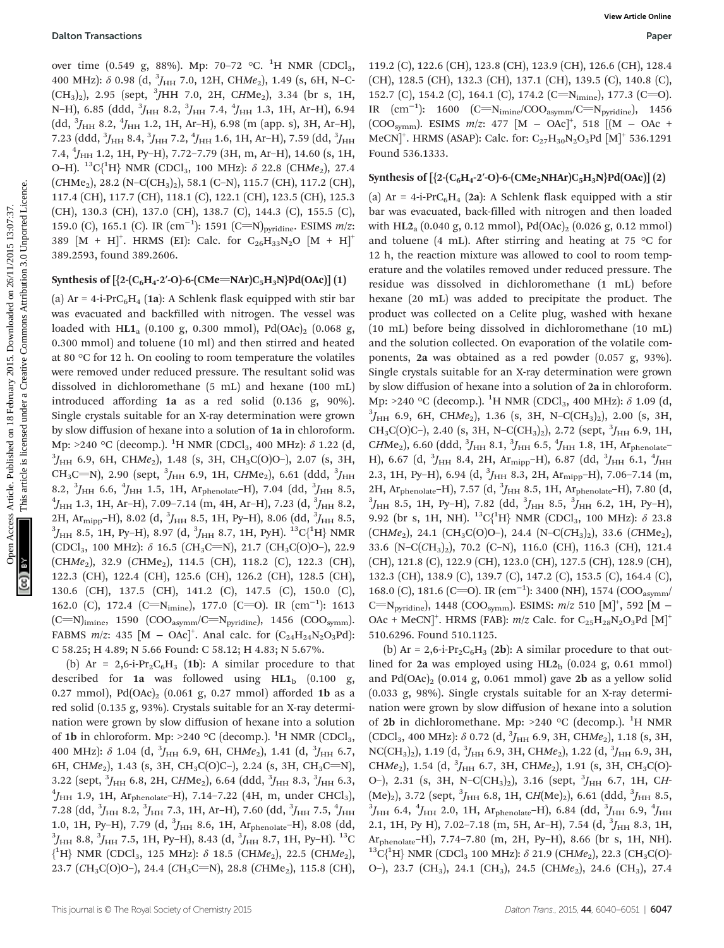over time (0.549 g, 88%). Mp: 70–72 °C. <sup>1</sup>H NMR (CDCl<sub>3</sub>, 400 MHz):  $\delta$  0.98 (d,  $^3J_{\rm HH}$  7.0, 12H, CHMe<sub>2</sub>), 1.49 (s, 6H, N–C- $(CH_3)_2$ ), 2.95 (sept, <sup>3</sup>JHH 7.0, 2H, CHMe<sub>2</sub>), 3.34 (br s, 1H, N–H), 6.85 (ddd,  $^3\!J_{\rm HH}$  8.2,  $^3\!J_{\rm HH}$  7.4,  $^4\!J_{\rm HH}$  1.3, 1H, Ar–H), 6.94 (dd,  ${}^{3}J_{\text{HH}}$  8.2,  ${}^{4}J_{\text{HH}}$  1.2, 1H, Ar–H), 6.98 (m (app. s), 3H, Ar–H), 7.23 (ddd,  $^3\!J_{\rm HH}$  8.4,  $^3\!J_{\rm HH}$  7.2,  $^4\!J_{\rm HH}$  1.6, 1H, Ar–H), 7.59 (dd,  $^3\!J_{\rm HH}$ 7.4, <sup>4</sup> JHH 1.2, 1H, Py–H), 7.72–7.79 (3H, m, Ar–H), 14.60 (s, 1H, O–H).  $^{13}C_1^{1}H$ } NMR (CDCl<sub>3</sub>, 100 MHz):  $\delta$  22.8 (CHMe<sub>2</sub>), 27.4  $(CHMe<sub>2</sub>), 28.2$  (N–C(CH<sub>3</sub>)<sub>2</sub>), 58.1 (C–N), 115.7 (CH), 117.2 (CH), 117.4 (CH), 117.7 (CH), 118.1 (C), 122.1 (CH), 123.5 (CH), 125.3 (CH), 130.3 (CH), 137.0 (CH), 138.7 (C), 144.3 (C), 155.5 (C), 159.0 (C), 165.1 (C). IR  $(\text{cm}^{-1})$ : 1591 (C=N)<sub>pyridine</sub>. ESIMS *m*/z: 389  $[M + H]^{+}$ . HRMS (EI): Calc. for C<sub>26</sub>H<sub>33</sub>N<sub>2</sub>O  $[M + H]^{+}$ 389.2593, found 389.2606.

#### Synthesis of  $[{2-(C_6H_4-2'-O)-6-(CMe=NAr)C_5H_3N}Pd(OAc)] (1)$

(a)  $Ar = 4-i-PrC_6H_4$  (1a): A Schlenk flask equipped with stir bar was evacuated and backfilled with nitrogen. The vessel was loaded with HL1<sub>a</sub> (0.100 g, 0.300 mmol), Pd(OAc)<sub>2</sub> (0.068 g, 0.300 mmol) and toluene (10 ml) and then stirred and heated at 80 °C for 12 h. On cooling to room temperature the volatiles were removed under reduced pressure. The resultant solid was dissolved in dichloromethane (5 mL) and hexane (100 mL) introduced affording 1a as a red solid (0.136 g, 90%). Single crystals suitable for an X-ray determination were grown by slow diffusion of hexane into a solution of 1a in chloroform. Mp: >240 °C (decomp.). <sup>1</sup>H NMR (CDCl<sub>3</sub>, 400 MHz):  $\delta$  1.22 (d, 3<sup>3</sup>L 6.9. 6H CHMe) 1.48 (s, 3H CH C(O)O-) 2.07 (s, 3H  ${}^{3}J_{HH}$  6.9, 6H, CHMe<sub>2</sub>), 1.48 (s, 3H, CH<sub>3</sub>C(O)O-), 2.07 (s, 3H, CH<sub>3</sub>C=N), 2.90 (sept,  $^3J_{\rm HH}$  6.9, 1H, CHMe<sub>2</sub>), 6.61 (ddd,  $^3J_{\rm HH}$ 8.2,  ${}^{3}J_{\text{HH}}$  6.6,  ${}^{4}J_{\text{HH}}$  1.5, 1H, Ar<sub>phenolate</sub>–H), 7.04 (dd,  ${}^{3}J_{\text{HH}}$  8.5,  ${}^{4}I$  1.3, 1H Ar<sub>ph</sub> 7.09–7.14 (m, 4H Ar<sub>phen</sub>) 7.23 (d,  ${}^{3}I$  9.2  $J_{\rm HH}$  1.3, 1H, Ar–H), 7.09–7.14 (m, 4H, Ar–H), 7.23 (d,  $^3J_{\rm HH}$  8.2, 2H,  $\text{Ar}_{\text{mipp}}$ –H), 8.02 (d,  ${}^{3}J_{\text{HH}}$  8.5, 1H, Py–H), 8.06 (dd,  ${}^{3}J_{\text{HH}}$  8.5,  ${}^{3}J_{\text{H}}$  8.5,  ${}^{3}J_{\text{H}}$  8.5,  ${}^{3}J_{\text{H}}$  8.5,  ${}^{3}J_{\text{H}}$  8.5,  ${}^{3}J_{\text{H}}$  8.5,  ${}^{3}J_{\text{H}}$  8.5,  ${}^{3}J_{\text{H}}$  8.5  $J_{\rm HH}$  8.5, 1H, Py–H), 8.97 (d,  $^3J_{\rm HH}$  8.7, 1H, PyH).  $^{13}{\rm C} \{^1{\rm H}\}$  NMR (CDCl<sub>3</sub>, 100 MHz):  $\delta$  16.5 (CH<sub>3</sub>C=N), 21.7 (CH<sub>3</sub>C(O)O-), 22.9  $(CHMe<sub>2</sub>), 32.9$  (CHMe<sub>2</sub>), 114.5 (CH), 118.2 (C), 122.3 (CH), 122.3 (CH), 122.4 (CH), 125.6 (CH), 126.2 (CH), 128.5 (CH), 130.6 (CH), 137.5 (CH), 141.2 (C), 147.5 (C), 150.0 (C), 162.0 (C), 172.4 (C=N<sub>imine</sub>), 177.0 (C=O). IR (cm<sup>-1</sup>): 1613  $(C=N)_{\text{imine}}$ , 1590  $(COO_{\text{asymm}}/C=N_{\text{pyridine}})$ , 1456  $(COO_{\text{symm}})$ . FABMS *m*/z: 435 [M – OAc]<sup>+</sup>. Anal calc. for  $(C_{24}H_{24}N_2O_3Pd)$ : C 58.25; H 4.89; N 5.66 Found: C 58.12; H 4.83; N 5.67%.

(b) Ar = 2,6-i-Pr<sub>2</sub>C<sub>6</sub>H<sub>3</sub> (1b): A similar procedure to that described for 1a was followed using  $HL1<sub>b</sub>$  (0.100 g, 0.27 mmol), Pd $(OAc)_2$   $(0.061 \text{ g}, 0.27 \text{ mmol})$  afforded 1b as a red solid (0.135 g, 93%). Crystals suitable for an X-ray determination were grown by slow diffusion of hexane into a solution of 1b in chloroform. Mp: >240 °C (decomp.).  $^{1}$ H NMR (CDCl<sub>3</sub>, 400 MHz):  $\delta$  1.04 (d,  $^{3}\!J_{\rm HH}$  6.9, 6H, CHMe<sub>2</sub>), 1.41 (d,  $^{3}\!J_{\rm HH}$  6.7, 6H, CHMe<sub>2</sub>), 1.43 (s, 3H, CH<sub>3</sub>C(O)C-), 2.24 (s, 3H, CH<sub>3</sub>C=N), 3.22 (sept,  ${}^{3}J_{\text{HH}}$  6.8, 2H, CHMe<sub>2</sub>), 6.64 (ddd,  ${}^{3}J_{\text{HH}}$  8.3,  ${}^{3}J_{\text{HH}}$  6.3,  ${}^{4}J_{\text{HH}}$  1.9, 1H Ar,  $J_{\text{H}}$  1.7, 1.4–7.22 (4H, m, under CHCl)  $^{4}$ J<sub>HH</sub> 1.9, 1H, Ar<sub>phenolate</sub>–H), 7.14–7.22 (4H, m, under CHCl<sub>3</sub>), 7.28 (dd,  $^3J_{\rm{HH}}$  8.2,  $^3J_{\rm{HH}}$  7.3, 1H, Ar–H), 7.60 (dd,  $^3J_{\rm{HH}}$  7.5,  $^4J_{\rm{HH}}$ 1.0, 1H, Py–H), 7.79 (d,  ${}^{3}H_{\text{HH}}$  8.6, 1H, Ar<sub>phenolate</sub>–H), 8.08 (dd,  ${}^{3}I_{\text{H}}$  8.9  ${}^{3}I_{\text{H}}$  7.5, 1H, Pv–H), 8.43 (d,  ${}^{3}I_{\text{H}}$  8.7, 1H, Pv–H),  ${}^{13}C$  $J_{\rm HH}$  8.8,  $^3J_{\rm HH}$  7.5, 1H, Py–H), 8.43 (d,  $^3J_{\rm HH}$  8.7, 1H, Py–H).  $^{13} \rm{C}$  ${^1}H$  NMR (CDCl<sub>3</sub>, 125 MHz):  $\delta$  18.5 (CHMe<sub>2</sub>), 22.5 (CHMe<sub>2</sub>), 23.7 (CH<sub>3</sub>C(O)O–), 24.4 (CH<sub>3</sub>C=N), 28.8 (CHMe<sub>2</sub>), 115.8 (CH),

119.2 (C), 122.6 (CH), 123.8 (CH), 123.9 (CH), 126.6 (CH), 128.4 (CH), 128.5 (CH), 132.3 (CH), 137.1 (CH), 139.5 (C), 140.8 (C), 152.7 (C), 154.2 (C), 164.1 (C), 174.2 (C=N<sub>imine</sub>), 177.3 (C=O). IR  $(cm<sup>-1</sup>)$ : 1600 (C=N<sub>imine</sub>/COO<sub>asymm</sub>/C=N<sub>pyridine</sub>), 1456 (COO<sub>symm</sub>). ESIMS  $m/z$ : 477 [M – OAc]<sup>+</sup>, 518 [(M – OAc + MeCN]<sup>+</sup>. HRMS (ASAP): Calc. for:  $\rm{C}_{27}\rm{H}_{30}\rm{N}_{2}\rm{O}_{3}\rm{Pd}$   $\rm{[M]}^{+}$  536.1291 Found 536.1333.

#### Synthesis of  $[\{2-(C_6H_4-2'-O)-6-(CMe_2NHAr)C_5H_3N\}Pd(OAc)]$  (2)

(a)  $Ar = 4-i-PrC_6H_4$  (2a): A Schlenk flask equipped with a stir bar was evacuated, back-filled with nitrogen and then loaded with  $HL2_a$  (0.040 g, 0.12 mmol), Pd(OAc)<sub>2</sub> (0.026 g, 0.12 mmol) and toluene (4 mL). After stirring and heating at 75  $\degree$ C for 12 h, the reaction mixture was allowed to cool to room temperature and the volatiles removed under reduced pressure. The residue was dissolved in dichloromethane (1 mL) before hexane (20 mL) was added to precipitate the product. The product was collected on a Celite plug, washed with hexane (10 mL) before being dissolved in dichloromethane (10 mL) and the solution collected. On evaporation of the volatile components, 2a was obtained as a red powder (0.057 g, 93%). Single crystals suitable for an X-ray determination were grown by slow diffusion of hexane into a solution of 2a in chloroform. Mp: >240 °C (decomp.). <sup>1</sup>H NMR (CDCl<sub>3</sub>, 400 MHz):  $\delta$  1.09 (d, 3<sup>3</sup>L 6.0, 6H CHMe) 1.36 (s, 3H N-C(CH)) 2.00 (s, 3H  ${}^{3}J_{HH}$  6.9, 6H, CHMe<sub>2</sub>), 1.36 (s, 3H, N–C(CH<sub>3</sub>)<sub>2</sub>), 2.00 (s, 3H, CH<sub>3</sub>C(O)C-), 2.40 (s, 3H, N-C(CH<sub>3</sub>)<sub>2</sub>), 2.72 (sept,  $^{3}J_{\text{HH}}$  6.9, 1H, CHMe<sub>2</sub>), 6.60 (ddd,  $^{3}J_{\text{HH}}$  8.1,  $^{3}J_{\text{HH}}$  6.5,  $^{4}J_{\text{HH}}$  1.8, 1H, Ar<sub>phenolate</sub>-H), 6.67 (d,  $^{3}J_{\rm{HH}}$  8.4, 2H, Ar $_{\rm{mipp}}$ –H), 6.87 (dd,  $^{3}J_{\rm{HH}}$  6.1,  $^{4}J_{\rm{HH}}$ 2.3, 1H, Py-H), 6.94 (d,  $^{3}J_{\text{HH}}$  8.3, 2H, Ar<sub>mipp</sub>-H), 7.06-7.14 (m, 2H, Ar<sub>phenolate</sub>–H), 7.57 (d, <sup>3</sup>*J*<sub>HH</sub> 8.5, 1H, Ar<sub>phenolate</sub>–H), 7.80 (d, <sup>3</sup>*I* 8.5, 1H **D**<sub>*I*</sub>–H), 7.80 (d, <sup>3</sup>*I* 8.5, <sup>3</sup>*I* 6.2, 1H **D**<sub>*I*</sub>–H)  $J_{\rm HH}$  8.5, 1H, Py–H), 7.82 (dd,  $^3J_{\rm HH}$  8.5,  $^3J_{\rm HH}$  6.2, 1H, Py–H), 9.92 (br s, 1H, NH).  ${}^{13}$ C{<sup>1</sup>H} NMR (CDCl<sub>3</sub>, 100 MHz): δ 23.8 (CHMe<sub>2</sub>), 24.1 (CH<sub>3</sub>C(O)O-), 24.4 (N-C(CH<sub>3</sub>)<sub>2</sub>), 33.6 (CHMe<sub>2</sub>), 33.6 (N–C(CH3)2), 70.2 (C–N), 116.0 (CH), 116.3 (CH), 121.4 (CH), 121.8 (C), 122.9 (CH), 123.0 (CH), 127.5 (CH), 128.9 (CH), 132.3 (CH), 138.9 (C), 139.7 (C), 147.2 (C), 153.5 (C), 164.4 (C), 168.0 (C), 181.6 (C=O). IR (cm<sup>-1</sup>): 3400 (NH), 1574 (COO<sub>asymm</sub>/ C=N<sub>pyridine</sub>), 1448 (COO<sub>symm</sub>). ESIMS:  $m/z$  510 [M]<sup>+</sup>, 592 [M – OAc + MeCN]<sup>+</sup>. HRMS (FAB):  $m/z$  Calc. for C<sub>25</sub>H<sub>28</sub>N<sub>2</sub>O<sub>3</sub>Pd [M]<sup>+</sup> 510.6296. Found 510.1125. **Outon Tennetbox**<br>
over time (0.528 g, 81%), Mp. 70-72 °C, <sup>1</sup>1 RMR (CPGL<sub>3</sub>, 119.2 (C), 12.5 (CH<sub>3</sub>, 12.9 (CH<sub>3</sub>, 12.9 (CH<sub>3</sub>, 12.9 (CH<sub>3</sub>, 12.9 (CH<sub>3</sub>, 12.9 (CH<sub>3</sub>, 12.9 (CH<sub>3</sub>, 12.9 (CH<sub>3</sub>), 12.9 (CH<sub>3</sub>, 12.9 (CH<sub>3</sub>, 1

> (b) Ar = 2,6-i-Pr<sub>2</sub>C<sub>6</sub>H<sub>3</sub> (2b): A similar procedure to that outlined for 2a was employed using  $HL2<sub>b</sub>$  (0.024 g, 0.61 mmol) and  $Pd(OAc)_2$  (0.014 g, 0.061 mmol) gave 2**b** as a yellow solid (0.033 g, 98%). Single crystals suitable for an X-ray determination were grown by slow diffusion of hexane into a solution of 2b in dichloromethane. Mp: >240 °C (decomp.). <sup>1</sup>H NMR  $(CDCl_3, 400 MHz)$ : δ 0.72 (d,  $^3J_{HH}$  6.9, 3H, CHMe<sub>2</sub>), 1.18 (s, 3H, NC(CH<sub>3</sub>)<sub>2</sub>), 1.19 (d,  $^3J_{\rm HH}$  6.9, 3H, CHMe<sub>2</sub>), 1.22 (d,  $^3J_{\rm HH}$  6.9, 3H, CHMe<sub>2</sub>), 1.54 (d,  ${}^{3}$ J<sub>HH</sub> 6.7, 3H, CHMe<sub>2</sub>), 1.91 (s, 3H, CH<sub>3</sub>C(O)-O–), 2.31 (s, 3H, N–C(CH<sub>3</sub>)<sub>2</sub>), 3.16 (sept,  $^{3}J_{\text{HH}}$  6.7, 1H, CH- $(Me)_2$ ), 3.72 (sept, <sup>3</sup>*H*H 6.8, 1H, CH(Me)<sub>2</sub>), 6.61 (ddd, <sup>3</sup>*J*<sub>HH</sub> 8.5, 3*I*<sub>1</sub> 6.4, 4*I*<sub>1</sub> 2.0, 1H Ar<sub>1</sub> 6.4, 4*I*<sub>1</sub> 6.84 (dd, <sup>3</sup>*I*<sub>1</sub> 6.9, 4*I*<sub>1</sub>  $J_{\rm HH}$  6.4,  $^4J_{\rm HH}$  2.0, 1H, Ar $_{\rm phenolate}$ –H), 6.84 (dd,  $^3J_{\rm HH}$  6.9,  $^4J_{\rm HH}$ 2.1, 1H, Py H), 7.02-7.18 (m, 5H, Ar-H), 7.54 (d,  $^{3}$ J<sub>HH</sub> 8.3, 1H, Ar<sub>phenolate</sub>–H), 7.74–7.80 (m, 2H, Py–H), 8.66 (br s, 1H, NH).<br><sup>13</sup>C{<sup>1</sup>H} NMR (CDCl<sub>3</sub> 100 MHz): δ 21.9 (CHMe<sub>2</sub>), 22.3 (CH<sub>3</sub>C(O)· O–), 23.7 (CH<sub>3</sub>), 24.1 (CH<sub>3</sub>), 24.5 (CHMe<sub>2</sub>), 24.6 (CH<sub>3</sub>), 27.4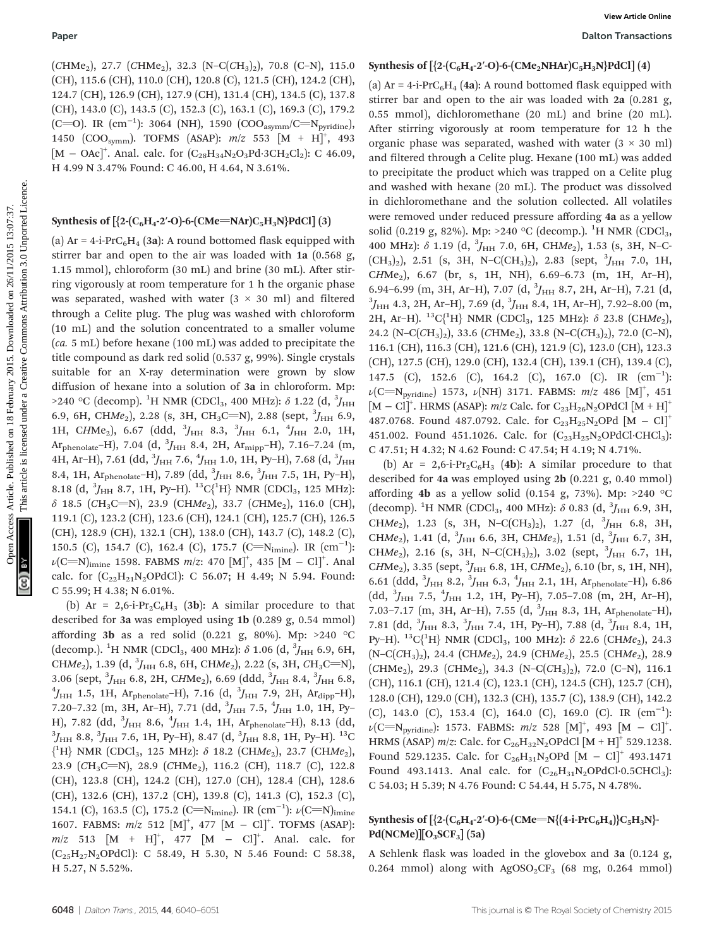$(CHMe<sub>2</sub>), 27.7 (CHMe<sub>2</sub>), 32.3 (N-C(CH<sub>3</sub>)<sub>2</sub>), 70.8 (C-N), 115.0$ (CH), 115.6 (CH), 110.0 (CH), 120.8 (C), 121.5 (CH), 124.2 (CH), 124.7 (CH), 126.9 (CH), 127.9 (CH), 131.4 (CH), 134.5 (C), 137.8 (CH), 143.0 (C), 143.5 (C), 152.3 (C), 163.1 (C), 169.3 (C), 179.2 (C=O). IR (cm<sup>-1</sup>): 3064 (NH), 1590 (COO<sub>asymm</sub>/C=N<sub>pyridine</sub>), 1450 (COO<sub>symm</sub>). TOFMS (ASAP):  $m/z$  553  $[M + H]^+,$  493 [M – OAc]<sup>+</sup>. Anal. calc. for  $(C_{28}H_{34}N_2O_3Pd \cdot 3CH_2Cl_2)$ : C 46.09, H 4.99 N 3.47% Found: C 46.00, H 4.64, N 3.61%.

#### Synthesis of  $[ {2-(C_6H_4-2'-O)-6-(CMe=Nar)C_5H_3N}PdCl ] (3)$

(a)  $Ar = 4-i PrC<sub>6</sub>H<sub>4</sub>$  (3a): A round bottomed flask equipped with stirrer bar and open to the air was loaded with 1a (0.568 g, 1.15 mmol), chloroform (30 mL) and brine (30 mL). After stirring vigorously at room temperature for 1 h the organic phase was separated, washed with water  $(3 \times 30 \text{ ml})$  and filtered through a Celite plug. The plug was washed with chloroform (10 mL) and the solution concentrated to a smaller volume (ca. 5 mL) before hexane (100 mL) was added to precipitate the title compound as dark red solid (0.537 g, 99%). Single crystals suitable for an X-ray determination were grown by slow diffusion of hexane into a solution of 3a in chloroform. Mp: >240 °C (decomp). <sup>1</sup>H NMR (CDCl<sub>3</sub>, 400 MHz):  $\delta$  1.22 (d,  $^3J_{\rm HH}$ 6.9, 6H, CHMe<sub>2</sub>), 2.28 (s, 3H, CH<sub>3</sub>C=N), 2.88 (sept,  $^3J_{\rm HH}$  6.9, 1H, CHMe<sub>2</sub>), 6.67 (ddd,  $^{3}J_{\rm{HH}}$  8.3,  $^{3}J_{\rm{HH}}$  6.1,  $^{4}J_{\rm{HH}}$  2.0, 1H, Ar<sub>phenolate</sub>–H), 7.04 (d,  $^{3}J_{\rm HH}$  8.4, 2H, Ar<sub>mipp</sub>–H), 7.16–7.24 (m, 4H, Ar–H), 7.61 (dd,  $^3\!J_{\rm HH}$  7.6,  $^4\!J_{\rm HH}$  1.0, 1H, Py–H), 7.68 (d,  $^3\!J_{\rm HH}$ 8.4, 1H,  $Ar_{\text{phenolate}}$ -H), 7.89 (dd,  $^3J_{\text{HH}}$  8.6,  $^3J_{\text{HH}}$  7.5, 1H, Py-H), 8.18 (d,  ${}^{3}J_{\text{HH}}$  8.7, 1H, Py–H).  ${}^{13}C_{1}^{(1)}H$ } NMR (CDCl<sub>3</sub>, 125 MHz):  $\delta$  18.5 (CH<sub>3</sub>C=N), 23.9 (CHMe<sub>2</sub>), 33.7 (CHMe<sub>2</sub>), 116.0 (CH), 119.1 (C), 123.2 (CH), 123.6 (CH), 124.1 (CH), 125.7 (CH), 126.5 (CH), 128.9 (CH), 132.1 (CH), 138.0 (CH), 143.7 (C), 148.2 (C), 150.5 (C), 154.7 (C), 162.4 (C), 175.7 (C=N<sub>imine</sub>). IR  $\rm (cm^{-1})$ :  $\nu(\rm{C=}\rm{N})_{\rm{imine}}$  1598. FABMS  $m/z$ : 470  $\rm{[M]}^+,$  435  $\rm{[M-Cl]}^+.$  Anal calc. for  $(C_{22}H_{21}N_2OPdCl)$ : C 56.07; H 4.49; N 5.94. Found: C 55.99; H 4.38; N 6.01%.

(b) Ar = 2,6-i-Pr<sub>2</sub>C<sub>6</sub>H<sub>3</sub> (3b): A similar procedure to that described for 3a was employed using 1b (0.289 g, 0.54 mmol) affording 3b as a red solid (0.221 g, 80%). Mp:  $>240$  °C (decomp.). <sup>1</sup>H NMR (CDCl<sub>3</sub>, 400 MHz):  $\delta$  1.06 (d,  $^3J_{\rm HH}$  6.9, 6H, CHMe<sub>2</sub>), 1.39 (d,  $^{3}J_{\rm HH}$  6.8, 6H, CHMe<sub>2</sub>), 2.22 (s, 3H, CH<sub>3</sub>C=N), 3.06 (sept,  ${}^{3}J_{\text{HH}}$  6.8, 2H, CHMe<sub>2</sub>), 6.69 (ddd,  ${}^{3}J_{\text{HH}}$  8.4,  ${}^{3}J_{\text{HH}}$  6.8,  ${}^{4}J_{\text{H}}$  1.5, 1H Ar<sub>th</sub>  $\rightarrow$  1.7, 16 (d<sup>3</sup> $J_{\text{H}}$  7.9, 2H Ar<sub>th</sub>  $\rightarrow$  H)  $J_{\rm HH}$  1.5, 1H, Ar<sub>phenolate</sub>–H), 7.16 (d,  $^{3}J_{\rm HH}$  7.9, 2H, Ar<sub>dipp</sub>–H), 7.20–7.32 (m, 3H, Ar–H), 7.71 (dd,  $^3J_{\rm HH}$  7.5,  $^4J_{\rm HH}$  1.0, 1H, Py– H), 7.82 (dd,  ${}^{3}H_{\text{HH}}$  8.6,  ${}^{4}H_{\text{HH}}$  1.4, 1H, Arphenolate–H), 8.13 (dd,  ${}^{3}I_{\text{H}}$  9.9  ${}^{3}I_{\text{H}}$  7.6 1H Pv–H) 9.47 (d,  ${}^{3}I_{\text{H}}$  9.9 1H Pv–H)  ${}^{13}C$  $J_{\rm HH}$  8.8,  $^3J_{\rm HH}$  7.6, 1H, Py–H), 8.47 (d,  $^3J_{\rm HH}$  8.8, 1H, Py–H).  $^{13} \rm{C}$  ${^1}H$  NMR (CDCl<sub>3</sub>, 125 MHz):  $\delta$  18.2 (CHMe<sub>2</sub>), 23.7 (CHMe<sub>2</sub>), 23.9 (CH<sub>3</sub>C=N), 28.9 (CHMe<sub>2</sub>), 116.2 (CH), 118.7 (C), 122.8 (CH), 123.8 (CH), 124.2 (CH), 127.0 (CH), 128.4 (CH), 128.6 (CH), 132.6 (CH), 137.2 (CH), 139.8 (C), 141.3 (C), 152.3 (C), 154.1 (C), 163.5 (C), 175.2 (C=N<sub>imine</sub>). IR (cm<sup>-1</sup>):  $\nu$ (C=N)<sub>imine</sub> 1607. FABMS:  $m/z$  512  $[M]^+, 477 [M - Cl]^+.$  TOFMS (ASAP):  $m/z$  513  $[M + H]^+,$  477  $[M - Cl]^+.$  Anal. calc. for  $(C_{25}H_{27}N_2OPdC1)$ : C 58.49, H 5.30, N 5.46 Found: C 58.38, H 5.27, N 5.52%.

#### Synthesis of  $[ {2-(C_6H_4-2'-O)-6-(CMe_2NHAr)C_5H_3N}PdCl ] (4)$

(a)  $Ar = 4-i-PrC<sub>6</sub>H<sub>4</sub>$  (4a): A round bottomed flask equipped with stirrer bar and open to the air was loaded with 2a (0.281 g, 0.55 mmol), dichloromethane (20 mL) and brine (20 mL). After stirring vigorously at room temperature for 12 h the organic phase was separated, washed with water  $(3 \times 30 \text{ ml})$ and filtered through a Celite plug. Hexane (100 mL) was added to precipitate the product which was trapped on a Celite plug and washed with hexane (20 mL). The product was dissolved in dichloromethane and the solution collected. All volatiles were removed under reduced pressure affording 4a as a yellow solid (0.219 g, 82%). Mp: >240 °C (decomp.). <sup>1</sup>H NMR (CDCl<sub>3</sub>, 400 MHz):  $\delta$  1.19 (d,  $^{3}J_{\text{HH}}$  7.0, 6H, CHMe<sub>2</sub>), 1.53 (s, 3H, N-C- $(CH_3)_2$ , 2.51 (s, 3H, N-C(CH<sub>3</sub>)<sub>2</sub>), 2.83 (sept,  ${}^{3}J_{HH}$  7.0, 1H,  $CHMe<sub>2</sub>$ ), 6.67 (br, s, 1H, NH), 6.69-6.73 (m, 1H, Ar-H), 6.94–6.99 (m, 3H, Ar–H), 7.07 (d,  ${}^{3}I_{HH}$  8.7, 2H, Ar–H), 7.21 (d,  ${}^{3}I_{H1}$   ${}^{3}I_{H2}$  4.3, 2H, Ar–H), 7.09–8.00 (m  $J_{\rm HH}$  4.3, 2H, Ar–H), 7.69 (d,  $^3J_{\rm HH}$  8.4, 1H, Ar–H), 7.92–8.00 (m, 2H, Ar-H).  ${}^{13}C_1{}^{1}H$ } NMR (CDCl<sub>3</sub>, 125 MHz): δ 23.8 (CHMe<sub>2</sub>), 24.2 (N–C( $CH_3$ )<sub>2</sub>), 33.6 ( $CHMe_2$ ), 33.8 (N–C( $CH_3$ )<sub>2</sub>), 72.0 (C–N), 116.1 (CH), 116.3 (CH), 121.6 (CH), 121.9 (C), 123.0 (CH), 123.3 (CH), 127.5 (CH), 129.0 (CH), 132.4 (CH), 139.1 (CH), 139.4 (C), 147.5 (C), 152.6 (C), 164.2 (C), 167.0 (C). IR (cm−<sup>1</sup> ):  $\nu\text{(C=N<sub>pyridine</sub>)}$  1573,  $\nu\text{(NH)}$  3171. FABMS:  $m/z$  486  $\text{[M]}^+$ , 451 [M – Cl]<sup>+</sup>. HRMS (ASAP):  $m/z$  Calc. for  $C_{23}H_{26}N_2$ OPdCl [M + H]<sup>+</sup> 487.0768. Found 487.0792. Calc. for  $C_{23}H_{25}N_2OPd$   $[M - Cl]^+$ 451.002. Found 451.1026. Calc. for  $(C_{23}H_{25}N_2OPdCl·CHCl<sub>3</sub>)$ : C 47.51; H 4.32; N 4.62 Found: C 47.54; H 4.19; N 4.71%. Paper<br>
(CHAC, 1277 (CHAC, 1373 (N-C(CL<sub>)</sub>), 13.0 (N-), 13.5 (N-), 13.5 (N-), 13.5 (N-), 13.5 (N-), 13.5 (N-), 13.6 (N-), 13.5 (N-), 13.6 (N-), 13.5 (N-), 13.6 (N-), 13.5 (N-), 13.5 (N-), 13.5 (N-), 13.5 (N-), 13.0 (N-), 1

(b) Ar = 2,6-i-Pr<sub>2</sub>C<sub>6</sub>H<sub>3</sub> (4b): A similar procedure to that described for 4a was employed using 2b (0.221 g, 0.40 mmol) affording 4b as a yellow solid (0.154 g, 73%). Mp: >240 °C (decomp). <sup>1</sup>H NMR (CDCl<sub>3</sub>, 400 MHz):  $\delta$  0.83 (d, <sup>3</sup>J<sub>HH</sub> 6.9, 3H, CHMe<sub>2</sub>), 1.23 (s, 3H, N-C(CH<sub>3</sub>)<sub>2</sub>), 1.27 (d,  ${}^{3}J_{HH}$  6.8, 3H, CHMe<sub>2</sub>), 1.41 (d,  $^{3}J_{\text{HH}}$  6.6, 3H, CHMe<sub>2</sub>), 1.51 (d,  $^{3}J_{\text{HH}}$  6.7, 3H, CHMe<sub>2</sub>), 2.16 (s, 3H, N-C(CH<sub>3</sub>)<sub>2</sub>), 3.02 (sept,  ${}^{3}$ J<sub>HH</sub> 6.7, 1H, CHMe<sub>2</sub>), 3.35 (sept,  $^{3}$ J<sub>HH</sub> 6.8, 1H, CHMe<sub>2</sub>), 6.10 (br, s, 1H, NH), 6.61 (ddd,  $^{3}J_{\text{HH}}$  8.2,  $^{3}J_{\text{HH}}$  6.3,  $^{4}J_{\text{HH}}$  2.1, 1H, Ar<sub>phenolate</sub>-H), 6.86 (dd,  ${}^{3}J_{\text{HH}}$  7.5,  ${}^{4}J_{\text{HH}}$  1.2, 1H, Py-H), 7.05-7.08 (m, 2H, Ar-H), 7.03-7.17 (m, 3H, Ar-H), 7.55 (d,  $^{3}J_{\text{HH}}$  8.3, 1H, Ar<sub>phenolate</sub>-H), 7.81 (dd,  $^3J_{\rm HH}$  8.3,  $^3J_{\rm HH}$  7.4, 1H, Py–H), 7.88 (d,  $^3J_{\rm HH}$  8.4, 1H, Py–H).  ${}^{13}C_1^{1}H$  NMR (CDCl<sub>3</sub>, 100 MHz):  $\delta$  22.6 (CHMe<sub>2</sub>), 24.3  $(N-C(CH_3)_2)$ , 24.4 (CHMe<sub>2</sub>), 24.9 (CHMe<sub>2</sub>), 25.5 (CHMe<sub>2</sub>), 28.9  $(CHMe<sub>2</sub>), 29.3$   $(CHMe<sub>2</sub>), 34.3$   $(N-C(CH<sub>3</sub>)<sub>2</sub>), 72.0$   $(C-N), 116.1$ (CH), 116.1 (CH), 121.4 (C), 123.1 (CH), 124.5 (CH), 125.7 (CH), 128.0 (CH), 129.0 (CH), 132.3 (CH), 135.7 (C), 138.9 (CH), 142.2 (C), 143.0 (C), 153.4 (C), 164.0 (C), 169.0 (C). IR (cm−<sup>1</sup> ):  $\nu$ (C=N<sub>pyridine</sub>): 1573. FABMS: *m*/z 528 [M]<sup>+</sup>, 493 [M – Cl]<sup>+</sup>. HRMS (ASAP)  $m/z$ : Calc. for C<sub>26</sub>H<sub>32</sub>N<sub>2</sub>OPdCl [M + H]<sup>+</sup> 529.1238. Found 529.1235. Calc. for C<sub>26</sub>H<sub>31</sub>N<sub>2</sub>OPd  $[M - Cl]^+$  493.1471 Found 493.1413. Anal calc. for  $(C_{26}H_{31}N_2OPdCl·0.5CHCl<sub>3</sub>)$ : C 54.03; H 5.39; N 4.76 Found: C 54.44, H 5.75, N 4.78%.

### Synthesis of  $[\{2-(C_6H_4-2'-O)-6-(CMe=N{(4-i-PrC_6H_4)}C_5H_3N\}] Pd(NCMe)][O<sub>3</sub>SCF<sub>3</sub>]$  (5a)

A Schlenk flask was loaded in the glovebox and 3a (0.124 g, 0.264 mmol) along with  $AgOSO_2CF_3$  (68 mg, 0.264 mmol)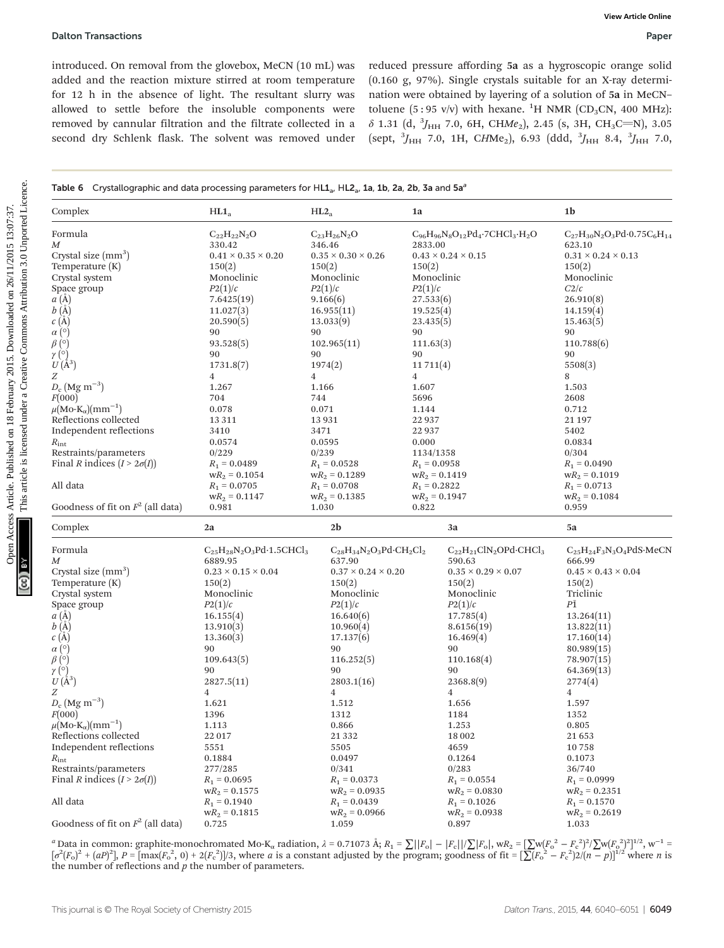|  | Table 6 Crystallographic and data processing parameters for $HL1_a$ , $HL2_a$ , 1a, 1b, 2a, 2b, 3a and 5a <sup>a</sup> |  |  |  |  |  |  |
|--|------------------------------------------------------------------------------------------------------------------------|--|--|--|--|--|--|
|--|------------------------------------------------------------------------------------------------------------------------|--|--|--|--|--|--|

| introduced. On removal from the glovebox, MeCN (10 mL) was<br>added and the reaction mixture stirred at room temperature<br>for 12 h in the absence of light. The resultant slurry was<br>allowed to settle before the insoluble components were<br>removed by cannular filtration and the filtrate collected in a<br>second dry Schlenk flask. The solvent was removed under                                                                                                  |                                                                                                                                                                                                                                                                                                                                                                    |                                                                                                                                                                                                                                                                                                                                     |                                                                                                                 |                                                                                                                                                                                                                                                                                                                                           | reduced pressure affording 5a as a hygroscopic orange solid<br>(0.160 g, 97%). Single crystals suitable for an X-ray determi-<br>nation were obtained by layering of a solution of 5a in MeCN-<br>toluene (5:95 v/v) with hexane. <sup>1</sup> H NMR (CD <sub>3</sub> CN, 400 MHz):<br>$\delta$ 1.31 (d, ${}^{3}J_{HH}$ 7.0, 6H, CHMe <sub>2</sub> ), 2.45 (s, 3H, CH <sub>3</sub> C=N), 3.05<br>(sept, ${}^{3}J_{HH}$ 7.0, 1H, CHMe <sub>2</sub> ), 6.93 (ddd, ${}^{3}J_{HH}$ 8.4, ${}^{3}J_{HH}$ 7.0, |
|--------------------------------------------------------------------------------------------------------------------------------------------------------------------------------------------------------------------------------------------------------------------------------------------------------------------------------------------------------------------------------------------------------------------------------------------------------------------------------|--------------------------------------------------------------------------------------------------------------------------------------------------------------------------------------------------------------------------------------------------------------------------------------------------------------------------------------------------------------------|-------------------------------------------------------------------------------------------------------------------------------------------------------------------------------------------------------------------------------------------------------------------------------------------------------------------------------------|-----------------------------------------------------------------------------------------------------------------|-------------------------------------------------------------------------------------------------------------------------------------------------------------------------------------------------------------------------------------------------------------------------------------------------------------------------------------------|---------------------------------------------------------------------------------------------------------------------------------------------------------------------------------------------------------------------------------------------------------------------------------------------------------------------------------------------------------------------------------------------------------------------------------------------------------------------------------------------------------|
| Table 6 Crystallographic and data processing parameters for $HL1_a$ , $HL2_a$ , 1a, 1b, 2a, 2b, 3a and 5a <sup>3</sup>                                                                                                                                                                                                                                                                                                                                                         |                                                                                                                                                                                                                                                                                                                                                                    |                                                                                                                                                                                                                                                                                                                                     |                                                                                                                 |                                                                                                                                                                                                                                                                                                                                           |                                                                                                                                                                                                                                                                                                                                                                                                                                                                                                         |
| Complex                                                                                                                                                                                                                                                                                                                                                                                                                                                                        | HL1 <sub>a</sub>                                                                                                                                                                                                                                                                                                                                                   | HL2 <sub>a</sub>                                                                                                                                                                                                                                                                                                                    | 1a                                                                                                              |                                                                                                                                                                                                                                                                                                                                           | 1 <sub>b</sub>                                                                                                                                                                                                                                                                                                                                                                                                                                                                                          |
| Formula<br>M<br>Crystal size $(mm3)$<br>Temperature $(K)$<br>Crystal system<br>Space group<br>$a(\AA)$<br>b(A)<br>c(A)<br>$\alpha$ (°)<br>$\beta$ (°)<br>$\gamma$ (°)<br>$U(\AA^3)$<br>Ζ<br>$D_c$ (Mg m <sup>-3</sup> )<br>F(000)<br>$\mu\text{(Mo-K}_{\alpha}\text{)(mm}^{-1})$<br>Reflections collected<br>Independent reflections<br>$R_{\rm int}$<br>Restraints/parameters<br>Final <i>R</i> indices $(I > 2\sigma(I))$<br>All data<br>Goodness of fit on $F^2$ (all data) | $C_{22}H_{22}N_2O$<br>330.42<br>$0.41 \times 0.35 \times 0.20$<br>150(2)<br>Monoclinic<br>P2(1)/c<br>7.6425(19)<br>11.027(3)<br>20.590(5)<br>90<br>93.528(5)<br>90<br>1731.8(7)<br>4<br>1.267<br>704<br>0.078<br>13 3 11<br>3410<br>0.0574<br>0/229<br>$R_1 = 0.0489$<br>$wR_2 = 0.1054$<br>$R_1 = 0.0705$<br>$wR_2 = 0.1147$<br>0.981                             | $C_{23}H_{26}N_2O$<br>346.46<br>$0.35 \times 0.30 \times 0.26$<br>150(2)<br>Monoclinic<br>P2(1)/c<br>9.166(6)<br>16.955(11)<br>13.033(9)<br>90<br>102.965(11)<br>90<br>1974(2)<br>4<br>1.166<br>744<br>0.071<br>13931<br>3471<br>0.0595<br>0/239<br>$R_1 = 0.0528$<br>$wR_2 = 0.1289$<br>$R_1 = 0.0708$<br>$wR_2 = 0.1385$<br>1.030 | 2833.00<br>150(2)<br>P2(1)/c<br>90<br>90<br>4<br>1.607<br>5696<br>1.144<br>22 9 37<br>22 9 37<br>0.000<br>0.822 | $C_{96}H_{96}N_8O_{12}Pd_4 \cdot 7CHCl_3 \cdot H_2O$<br>$0.43 \times 0.24 \times 0.15$<br>Monoclinic<br>27.533(6)<br>19.525(4)<br>23.435(5)<br>111.63(3)<br>11711(4)<br>1134/1358<br>$R_1 = 0.0958$<br>$wR_2 = 0.1419$<br>$R_1 = 0.2822$<br>$wR_2 = 0.1947$                                                                               | $C_{27}H_{30}N_2O_3Pd \cdot 0.75C_6H_{14}$<br>623.10<br>$0.31 \times 0.24 \times 0.13$<br>150(2)<br>Monoclinic<br>C2/c<br>26.910(8)<br>14.159(4)<br>15.463(5)<br>90<br>110.788(6)<br>90<br>5508(3)<br>8<br>1.503<br>2608<br>0.712<br>21 197<br>5402<br>0.0834<br>0/304<br>$R_1 = 0.0490$<br>$wR_2 = 0.1019$<br>$R_1 = 0.0713$<br>$wR_2 = 0.1084$<br>0.959                                                                                                                                               |
| Complex                                                                                                                                                                                                                                                                                                                                                                                                                                                                        | 2a                                                                                                                                                                                                                                                                                                                                                                 | 2 <sub>b</sub>                                                                                                                                                                                                                                                                                                                      |                                                                                                                 | 3a                                                                                                                                                                                                                                                                                                                                        | 5a                                                                                                                                                                                                                                                                                                                                                                                                                                                                                                      |
| Formula<br>M<br>Crystal size (mm <sup>3</sup> )<br>Temperature (K)<br>Crystal system<br>Space group<br>a(A)<br>$b(\mathring{A})$<br>c(A)<br>$\alpha$ (°)<br>$\beta$ (°)<br>$\gamma$ (°)<br>$U(\AA^3)$<br>Ζ<br>$D_c$ (Mg m <sup>-3</sup> )<br>F(000)<br>$\mu\text{(Mo-K}_{\alpha}\text{)(mm}^{-1})$<br>Reflections collected<br>Independent reflections<br>$R_{\rm int}$<br>Restraints/parameters<br>Final R indices $(I > 2\sigma(I))$<br>All data                             | $C_{25}H_{28}N_2O_3Pd \cdot 1.5CHCl_3$<br>6889.95<br>$0.23 \times 0.15 \times 0.04$<br>150(2)<br>Monoclinic<br>P2(1)/c<br>16.155(4)<br>13.910(3)<br>13.360(3)<br>90<br>109.643(5)<br>90<br>2827.5(11)<br>$\overline{4}$<br>1.621<br>1396<br>1.113<br>22 017<br>5551<br>0.1884<br>277/285<br>$R_1 = 0.0695$<br>$wR_2 = 0.1575$<br>$R_1 = 0.1940$<br>$wR_2 = 0.1815$ | 637.90<br>$0.37 \times 0.24 \times 0.20$<br>150(2)<br>Monoclinic<br>P2(1)/c<br>16.640(6)<br>10.960(4)<br>17.137(6)<br>90<br>116.252(5)<br>90<br>2803.1(16)<br>$\overline{4}$<br>1.512<br>1312<br>0.866<br>21 3 3 2<br>5505<br>0.0497<br>0/341<br>$R_1 = 0.0373$<br>$WR_2 = 0.0935$<br>$R_1 = 0.0439$                                | $C_{28}H_{34}N_2O_3Pd \cdot CH_2Cl_2$                                                                           | $C_{22}H_{21}CIN_2OPd \cdot CHCl_3$<br>590.63<br>$0.35 \times 0.29 \times 0.07$<br>150(2)<br>Monoclinic<br>P2(1)/c<br>17.785(4)<br>8.6156(19)<br>16.469(4)<br>90<br>110.168(4)<br>90<br>2368.8(9)<br>$\overline{4}$<br>1.656<br>1184<br>1.253<br>18 002<br>4659<br>0.1264<br>0/283<br>$R_1 = 0.0554$<br>$wR_2 = 0.0830$<br>$R_1 = 0.1026$ | $C_{25}H_{24}F_3N_3O_4PdS$ ·MeCN<br>666.99<br>$0.45 \times 0.43 \times 0.04$<br>150(2)<br>Triclinic<br>PĪ<br>13.264(11)<br>13.822(11)<br>17.160(14)<br>80.989(15)<br>78.907(15)<br>64.369(13)<br>2774(4)<br>$\overline{4}$<br>1.597<br>1352<br>0.805<br>21653<br>10758<br>0.1073<br>36/740<br>$R_1 = 0.0999$<br>$wR_2 = 0.2351$<br>$R_1 = 0.1570$                                                                                                                                                       |

<sup>a</sup> Data in common: graphite-monochromated Mo-K<sub>α</sub> radiation,  $\lambda = 0.71073$  Å;  $R_1 = \sum ||F_0| - |F_c||/\sum |F_0|$ , w $R_2 = \sum |W(F_0^2 - F_c^2)^2/\sum w(F_0^2)^2]^{1/2}$ , w<sup>-1</sup> =  $\left[\sigma^2(F_0)^2 + (aP)^2\right]$ ,  $P = \left[\max(F_0^2, 0) + 2(F_0^2)\right]$ /3, where a is a constant adjusted by the program; goodness of fit  $=\left[\sum(F_0^2 - F_0^2)\right]^2/(n-p)\right]^{1/2}$  where n is the number of reflections and  $\boldsymbol{p}$  the number of parameters.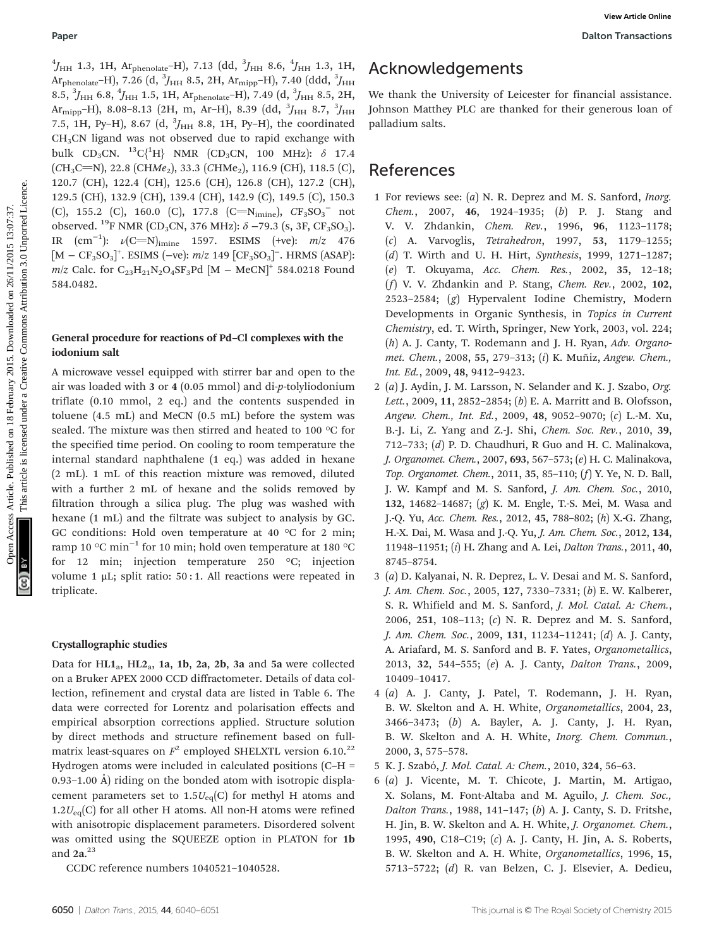$^{4}$ J<sub>HH</sub> 1.3, 1H, Ar<sub>phenolate</sub>–H), 7.13 (dd,  $^{3}$ J<sub>HH</sub> 8.6,  $^{4}$ J<sub>HH</sub> 1.3, 1H, Ar $_{\rm phenolate}$ –H), 7.26 (d,  $^3J_{\rm HH}$  8.5, 2H, Ar $_{\rm mipp}$ –H), 7.40 (ddd,  $^3J_{\rm HH}$ 8.5,  $^3J_{\rm HH}$  6.8,  $^4J_{\rm HH}$  1.5, 1H, Ar $_{\rm phenolate}$ –H), 7.49 (d,  $^3J_{\rm HH}$  8.5, 2H, Ar $_{\rm mipp}$ –H), 8.08–8.13 (2H, m, Ar–H), 8.39 (dd,  $^3\!J_{\rm HH}$  8.7,  $^3\!J_{\rm HH}$ 7.5, 1H, Py–H), 8.67 (d,  $^{3}J_{\rm{HH}}$  8.8, 1H, Py–H), the coordinated CH3CN ligand was not observed due to rapid exchange with bulk CD<sub>3</sub>CN. <sup>13</sup>C{<sup>1</sup>H} NMR (CD<sub>3</sub>CN, 100 MHz):  $\delta$  17.4  $(CH_3C=N)$ , 22.8 (CHMe<sub>2</sub>), 33.3 (CHMe<sub>2</sub>), 116.9 (CH), 118.5 (C), 120.7 (CH), 122.4 (CH), 125.6 (CH), 126.8 (CH), 127.2 (CH), 129.5 (CH), 132.9 (CH), 139.4 (CH), 142.9 (C), 149.5 (C), 150.3 (C), 155.2 (C), 160.0 (C), 177.8 (C=N<sub>imine</sub>),  $CF_3SO_3^-$  not observed. <sup>19</sup>F NMR (CD<sub>3</sub>CN, 376 MHz):  $\delta$  –79.3 (s, 3F, CF<sub>3</sub>SO<sub>3</sub>). IR  $(cm<sup>-1</sup>)$ :  $\nu$ (C=N)<sub>imine</sub> 1597. ESIMS (+ve): *m*/z 476  $[M - CF<sub>3</sub>SO<sub>3</sub>]<sup>+</sup>$ . ESIMS (-ve):  $m/z$  149 [CF<sub>3</sub>SO<sub>3</sub>]<sup>-</sup>. HRMS (ASAP): m/z Calc. for  $C_{23}H_{21}N_2O_4SF_3Pd$  [M – MeCN]<sup>+</sup> 584.0218 Found 584.0482. Published Common Fig. 7.31 (Id,  $\lambda_{\text{PP}}$ , 9.6,  $\gamma_{\text{PP}}$ , 133, 111. Acchimism Common Common Common Common Common Common Common Common Common Common Common Common Common Common Common Common Common Common Common Common

### General procedure for reactions of Pd–Cl complexes with the iodonium salt

A microwave vessel equipped with stirrer bar and open to the air was loaded with 3 or 4 (0.05 mmol) and di-p-tolyliodonium triflate (0.10 mmol, 2 eq.) and the contents suspended in toluene (4.5 mL) and MeCN (0.5 mL) before the system was sealed. The mixture was then stirred and heated to 100 °C for the specified time period. On cooling to room temperature the internal standard naphthalene (1 eq.) was added in hexane (2 mL). 1 mL of this reaction mixture was removed, diluted with a further 2 mL of hexane and the solids removed by filtration through a silica plug. The plug was washed with hexane (1 mL) and the filtrate was subject to analysis by GC. GC conditions: Hold oven temperature at 40 °C for 2 min; ramp 10 °C min−<sup>1</sup> for 10 min; hold oven temperature at 180 °C for 12 min; injection temperature 250 °C; injection volume 1 μL; split ratio:  $50:1$ . All reactions were repeated in triplicate.

#### Crystallographic studies

Data for  $HL1a$ ,  $HL2a$ , 1a, 1b, 2a, 2b, 3a and 5a were collected on a Bruker APEX 2000 CCD diffractometer. Details of data collection, refinement and crystal data are listed in Table 6. The data were corrected for Lorentz and polarisation effects and empirical absorption corrections applied. Structure solution by direct methods and structure refinement based on fullmatrix least-squares on  $F^2$  employed SHELXTL version 6.10.<sup>22</sup> Hydrogen atoms were included in calculated positions (C–H = 0.93–1.00 Å) riding on the bonded atom with isotropic displacement parameters set to  $1.5U_{eq}(C)$  for methyl H atoms and  $1.2U_{\text{eq}}(C)$  for all other H atoms. All non-H atoms were refined with anisotropic displacement parameters. Disordered solvent was omitted using the SQUEEZE option in PLATON for 1b and  $2a.^{23}$ 

CCDC reference numbers 1040521–1040528.

# Acknowledgements

We thank the University of Leicester for financial assistance. Johnson Matthey PLC are thanked for their generous loan of palladium salts.

# References

- 1 For reviews see: (a) N. R. Deprez and M. S. Sanford, Inorg. Chem., 2007, 46, 1924–1935; (b) P. J. Stang and V. V. Zhdankin, Chem. Rev., 1996, 96, 1123–1178; (c) A. Varvoglis, Tetrahedron, 1997, 53, 1179–1255; (d) T. Wirth and U. H. Hirt, Synthesis, 1999, 1271–1287; (e) T. Okuyama, Acc. Chem. Res., 2002, 35, 12–18;  $(f)$  V. V. Zhdankin and P. Stang, Chem. Rev., 2002, 102, 2523–2584; (g) Hypervalent Iodine Chemistry, Modern Developments in Organic Synthesis, in Topics in Current Chemistry, ed. T. Wirth, Springer, New York, 2003, vol. 224; (h) A. J. Canty, T. Rodemann and J. H. Ryan, Adv. Organomet. Chem., 2008, 55, 279–313; (i) K. Muñiz, Angew. Chem., Int. Ed., 2009, 48, 9412–9423.
- 2 (a) J. Aydin, J. M. Larsson, N. Selander and K. J. Szabo, Org. Lett., 2009, 11, 2852-2854; (b) E. A. Marritt and B. Olofsson, Angew. Chem., Int. Ed., 2009, 48, 9052–9070; (c) L.-M. Xu, B.-J. Li, Z. Yang and Z.-J. Shi, Chem. Soc. Rev., 2010, 39, 712–733; (d) P. D. Chaudhuri, R Guo and H. C. Malinakova, J. Organomet. Chem., 2007, 693, 567–573; (e) H. C. Malinakova, Top. Organomet. Chem., 2011, 35, 85–110; (f) Y. Ye, N. D. Ball, J. W. Kampf and M. S. Sanford, J. Am. Chem. Soc., 2010, 132, 14682–14687; (g) K. M. Engle, T.-S. Mei, M. Wasa and J.-Q. Yu, Acc. Chem. Res., 2012, 45, 788–802; (h) X.-G. Zhang, H.-X. Dai, M. Wasa and J.-Q. Yu, J. Am. Chem. Soc., 2012, 134, 11948–11951; (i) H. Zhang and A. Lei, Dalton Trans., 2011, 40, 8745–8754.
- 3 (a) D. Kalyanai, N. R. Deprez, L. V. Desai and M. S. Sanford, J. Am. Chem. Soc., 2005, 127, 7330–7331; (b) E. W. Kalberer, S. R. Whifield and M. S. Sanford, J. Mol. Catal. A: Chem., 2006, 251, 108–113; (c) N. R. Deprez and M. S. Sanford, J. Am. Chem. Soc., 2009, 131, 11234–11241; (d) A. J. Canty, A. Ariafard, M. S. Sanford and B. F. Yates, Organometallics, 2013, 32, 544–555; (e) A. J. Canty, Dalton Trans., 2009, 10409–10417.
- 4 (a) A. J. Canty, J. Patel, T. Rodemann, J. H. Ryan, B. W. Skelton and A. H. White, Organometallics, 2004, 23, 3466–3473; (b) A. Bayler, A. J. Canty, J. H. Ryan, B. W. Skelton and A. H. White, Inorg. Chem. Commun., 2000, 3, 575–578.
- 5 K. J. Szabó, J. Mol. Catal. A: Chem., 2010, 324, 56–63.
- 6 (a) J. Vicente, M. T. Chicote, J. Martin, M. Artigao, X. Solans, M. Font-Altaba and M. Aguilo, J. Chem. Soc., Dalton Trans., 1988, 141–147; (b) A. J. Canty, S. D. Fritshe, H. Jin, B. W. Skelton and A. H. White, J. Organomet. Chem., 1995, 490, C18–C19; (c) A. J. Canty, H. Jin, A. S. Roberts, B. W. Skelton and A. H. White, Organometallics, 1996, 15, 5713–5722; (d) R. van Belzen, C. J. Elsevier, A. Dedieu,